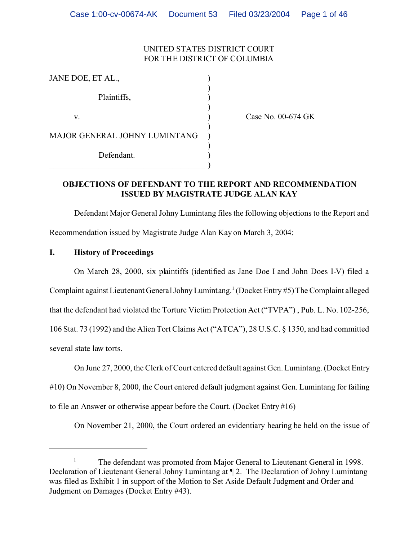# UNITED STATES DISTRICT COURT FOR THE DISTRICT OF COLUMBIA

| JANE DOE, ET AL.,             |  |
|-------------------------------|--|
| Plaintiffs,                   |  |
| V.                            |  |
| MAJOR GENERAL JOHNY LUMINTANG |  |
| Defendant.                    |  |
|                               |  |

Case No. 00-674 GK

#### **OBJECTIONS OF DEFENDANT TO THE REPORT AND RECOMMENDATION ISSUED BY MAGISTRATE JUDGE ALAN KAY**

Defendant Major General Johny Lumintang files the following objections to the Report and Recommendation issued by Magistrate Judge Alan Kay on March 3, 2004:

## **I. History of Proceedings**

On March 28, 2000, six plaintiffs (identified as Jane Doe I and John Does I-V) filed a Complaint against Lieutenant General Johny Lumintang.<sup>1</sup> (Docket Entry #5) The Complaint alleged that the defendant had violated the Torture Victim Protection Act ("TVPA") , Pub. L. No. 102-256, 106 Stat. 73 (1992) and the Alien Tort Claims Act ("ATCA"), 28 U.S.C. § 1350, and had committed several state law torts.

On June 27, 2000, the Clerk of Court entered default against Gen. Lumintang. (Docket Entry

#10) On November 8, 2000, the Court entered default judgment against Gen. Lumintang for failing

to file an Answer or otherwise appear before the Court. (Docket Entry #16)

On November 21, 2000, the Court ordered an evidentiary hearing be held on the issue of

<sup>&</sup>lt;sup>1</sup> The defendant was promoted from Major General to Lieutenant General in 1998. Declaration of Lieutenant General Johny Lumintang at ¶ 2. The Declaration of Johny Lumintang was filed as Exhibit 1 in support of the Motion to Set Aside Default Judgment and Order and Judgment on Damages (Docket Entry #43).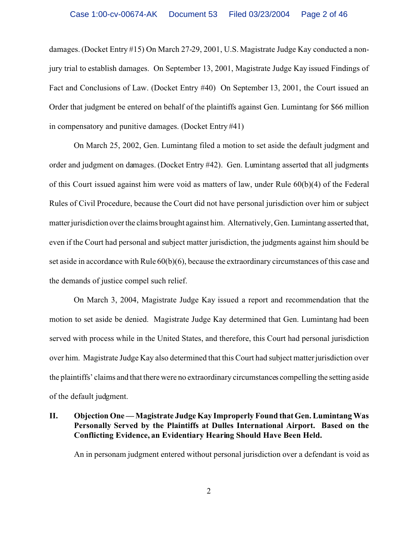damages. (Docket Entry #15) On March 27-29, 2001, U.S. Magistrate Judge Kay conducted a nonjury trial to establish damages. On September 13, 2001, Magistrate Judge Kay issued Findings of Fact and Conclusions of Law. (Docket Entry #40) On September 13, 2001, the Court issued an Order that judgment be entered on behalf of the plaintiffs against Gen. Lumintang for \$66 million in compensatory and punitive damages. (Docket Entry #41)

On March 25, 2002, Gen. Lumintang filed a motion to set aside the default judgment and order and judgment on damages. (Docket Entry #42). Gen. Lumintang asserted that all judgments of this Court issued against him were void as matters of law, under Rule 60(b)(4) of the Federal Rules of Civil Procedure, because the Court did not have personal jurisdiction over him or subject matter jurisdiction over the claims brought against him. Alternatively, Gen. Lumintang asserted that, even if the Court had personal and subject matter jurisdiction, the judgments against him should be set aside in accordance with Rule 60(b)(6), because the extraordinary circumstances of this case and the demands of justice compel such relief.

On March 3, 2004, Magistrate Judge Kay issued a report and recommendation that the motion to set aside be denied. Magistrate Judge Kay determined that Gen. Lumintang had been served with process while in the United States, and therefore, this Court had personal jurisdiction over him. Magistrate Judge Kay also determined that this Court had subject matter jurisdiction over the plaintiffs' claims and that there were no extraordinary circumstances compelling the setting aside of the default judgment.

#### **II. Objection One — Magistrate Judge Kay Improperly Found that Gen. Lumintang Was Personally Served by the Plaintiffs at Dulles International Airport. Based on the Conflicting Evidence, an Evidentiary Hearing Should Have Been Held.**

An in personam judgment entered without personal jurisdiction over a defendant is void as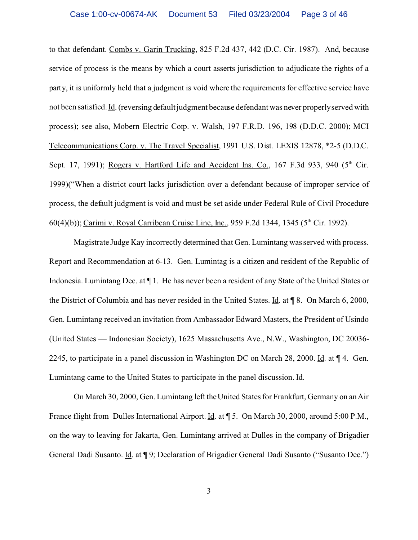to that defendant. Combs v. Garin Trucking, 825 F.2d 437, 442 (D.C. Cir. 1987). And, because service of process is the means by which a court asserts jurisdiction to adjudicate the rights of a party, it is uniformly held that a judgment is void where the requirements for effective service have not been satisfied. Id. (reversing default judgment because defendant was never properly served with process); see also, Mobern Electric Corp. v. Walsh, 197 F.R.D. 196, 198 (D.D.C. 2000); MCI Telecommunications Corp. v. The Travel Specialist, 1991 U.S. Dist. LEXIS 12878, \*2-5 (D.D.C. Sept. 17, 1991); Rogers v. Hartford Life and Accident Ins. Co., 167 F.3d 933, 940 ( $5<sup>th</sup>$  Cir. 1999)("When a district court lacks jurisdiction over a defendant because of improper service of process, the default judgment is void and must be set aside under Federal Rule of Civil Procedure 60(4)(b)); Carimi v. Royal Carribean Cruise Line, Inc., 959 F.2d 1344, 1345 ( $5<sup>th</sup>$  Cir. 1992).

Magistrate Judge Kay incorrectly determined that Gen. Lumintang was served with process. Report and Recommendation at 6-13. Gen. Lumintag is a citizen and resident of the Republic of Indonesia. Lumintang Dec. at ¶ 1. He has never been a resident of any State of the United States or the District of Columbia and has never resided in the United States. Id. at ¶ 8. On March 6, 2000, Gen. Lumintang received an invitation from Ambassador Edward Masters, the President of Usindo (United States — Indonesian Society), 1625 Massachusetts Ave., N.W., Washington, DC 20036- 2245, to participate in a panel discussion in Washington DC on March 28, 2000. Id. at ¶ 4. Gen. Lumintang came to the United States to participate in the panel discussion. Id.

On March 30, 2000, Gen. Lumintang left the United States for Frankfurt, Germany on an Air France flight from Dulles International Airport. Id. at ¶ 5. On March 30, 2000, around 5:00 P.M., on the way to leaving for Jakarta, Gen. Lumintang arrived at Dulles in the company of Brigadier General Dadi Susanto. Id. at ¶ 9; Declaration of Brigadier General Dadi Susanto ("Susanto Dec.")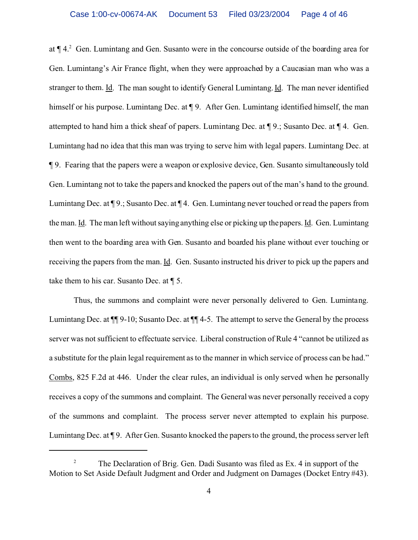at  $\P$  4.<sup>2</sup> Gen. Lumintang and Gen. Susanto were in the concourse outside of the boarding area for Gen. Lumintang's Air France flight, when they were approached by a Caucasian man who was a stranger to them. Id. The man sought to identify General Lumintang. Id. The man never identified himself or his purpose. Lumintang Dec. at  $\P$  9. After Gen. Lumintang identified himself, the man attempted to hand him a thick sheaf of papers. Lumintang Dec. at ¶ 9.; Susanto Dec. at ¶ 4. Gen. Lumintang had no idea that this man was trying to serve him with legal papers. Lumintang Dec. at ¶ 9. Fearing that the papers were a weapon or explosive device, Gen. Susanto simultaneously told Gen. Lumintang not to take the papers and knocked the papers out of the man's hand to the ground. Lumintang Dec. at ¶ 9.; Susanto Dec. at ¶ 4. Gen. Lumintang never touched or read the papers from the man. Id. The man left without saying anything else or picking up the papers. Id. Gen. Lumintang then went to the boarding area with Gen. Susanto and boarded his plane without ever touching or receiving the papers from the man. Id. Gen. Susanto instructed his driver to pick up the papers and take them to his car. Susanto Dec. at ¶ 5.

Thus, the summons and complaint were never personally delivered to Gen. Lumintang. Lumintang Dec. at  $\P\P$  9-10; Susanto Dec. at  $\P\P$  4-5. The attempt to serve the General by the process server was not sufficient to effectuate service. Liberal construction of Rule 4 "cannot be utilized as a substitute for the plain legal requirement as to the manner in which service of process can be had." Combs, 825 F.2d at 446. Under the clear rules, an individual is only served when he personally receives a copy of the summons and complaint. The General was never personally received a copy of the summons and complaint. The process server never attempted to explain his purpose. Lumintang Dec. at ¶ 9. After Gen. Susanto knocked the papers to the ground, the process server left

<sup>&</sup>lt;sup>2</sup> The Declaration of Brig. Gen. Dadi Susanto was filed as Ex. 4 in support of the Motion to Set Aside Default Judgment and Order and Judgment on Damages (Docket Entry #43).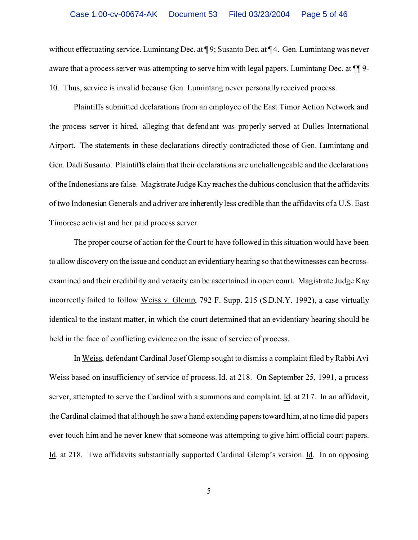without effectuating service. Lumintang Dec. at ¶9; Susanto Dec. at ¶4. Gen. Lumintang was never aware that a process server was attempting to serve him with legal papers. Lumintang Dec. at ¶¶ 9- 10. Thus, service is invalid because Gen. Lumintang never personally received process.

Plaintiffs submitted declarations from an employee of the East Timor Action Network and the process server it hired, alleging that defendant was properly served at Dulles International Airport. The statements in these declarations directly contradicted those of Gen. Lumintang and Gen. Dadi Susanto. Plaintiffs claim that their declarations are unchallengeable and the declarations of the Indonesians are false. Magistrate Judge Kay reaches the dubious conclusion that the affidavits of two Indonesian Generals and a driver are inherently less credible than the affidavits of a U.S. East Timorese activist and her paid process server.

The proper course of action for the Court to have followed in this situation would have been to allow discovery on the issue and conduct an evidentiary hearing so that the witnesses can be crossexamined and their credibility and veracity can be ascertained in open court. Magistrate Judge Kay incorrectly failed to follow Weiss v. Glemp, 792 F. Supp. 215 (S.D.N.Y. 1992), a case virtually identical to the instant matter, in which the court determined that an evidentiary hearing should be held in the face of conflicting evidence on the issue of service of process.

In Weiss, defendant Cardinal Josef Glemp sought to dismiss a complaint filed by Rabbi Avi Weiss based on insufficiency of service of process. Id. at 218. On September 25, 1991, a process server, attempted to serve the Cardinal with a summons and complaint. <u>Id</u>. at 217. In an affidavit, the Cardinal claimed that although he saw a hand extending papers toward him, at no time did papers ever touch him and he never knew that someone was attempting to give him official court papers. Id. at 218. Two affidavits substantially supported Cardinal Glemp's version. Id. In an opposing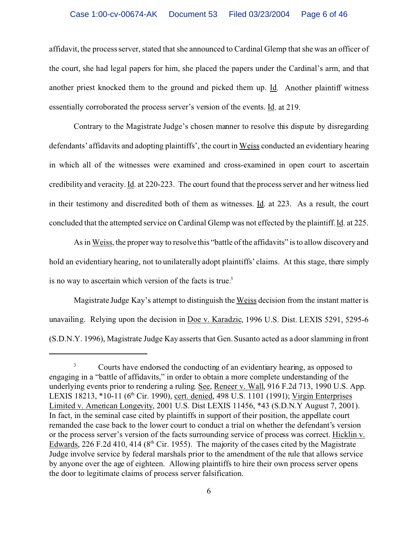affidavit, the process server, stated that she announced to Cardinal Glemp that she was an officer of the court, she had legal papers for him, she placed the papers under the Cardinal's arm, and that another priest knocked them to the ground and picked them up. Id. Another plaintiff witness essentially corroborated the process server's version of the events. Id. at 219.

Contrary to the Magistrate Judge's chosen manner to resolve this dispute by disregarding defendants' affidavits and adopting plaintiffs', the court in Weiss conducted an evidentiary hearing in which all of the witnesses were examined and cross-examined in open court to ascertain credibility and veracity. Id. at 220-223. The court found that the process server and her witness lied in their testimony and discredited both of them as witnesses. Id. at 223. As a result, the court concluded that the attempted service on Cardinal Glemp was not effected by the plaintiff. Id. at 225.

As in Weiss, the proper way to resolve this "battle of the affidavits" is to allow discovery and hold an evidentiary hearing, not to unilaterally adopt plaintiffs' claims. At this stage, there simply is no way to ascertain which version of the facts is true.<sup>3</sup>

Magistrate Judge Kay's attempt to distinguish the Weiss decision from the instant matter is unavailing. Relying upon the decision in Doe v. Karadzic, 1996 U.S. Dist. LEXIS 5291, 5295-6 (S.D.N.Y. 1996), Magistrate Judge Kay asserts that Gen. Susanto acted as a door slamming in front

<sup>&</sup>lt;sup>3</sup> Courts have endorsed the conducting of an evidentiary hearing, as opposed to engaging in a "battle of affidavits," in order to obtain a more complete understanding of the underlying events prior to rendering a ruling. See, Reneer v. Wall, 916 F.2d 713, 1990 U.S. App. LEXIS 18213, \*10-11 (6<sup>th</sup> Cir. 1990), cert. denied, 498 U.S. 1101 (1991); Virgin Enterprises Limited v. American Longevity, 2001 U.S. Dist LEXIS 11456, \*43 (S.D.N.Y August 7, 2001). In fact, in the seminal case cited by plaintiffs in support of their position, the appellate court remanded the case back to the lower court to conduct a trial on whether the defendant's version or the process server's version of the facts surrounding service of process was correct. Hicklin v. Edwards, 226 F.2d 410, 414 ( $8<sup>th</sup>$  Cir. 1955). The majority of the cases cited by the Magistrate Judge involve service by federal marshals prior to the amendment of the rule that allows service by anyone over the age of eighteen. Allowing plaintiffs to hire their own process server opens the door to legitimate claims of process server falsification.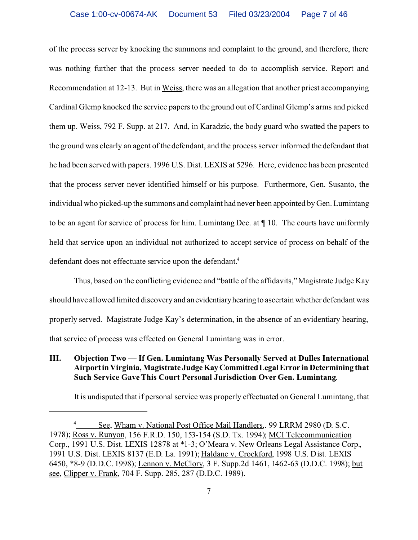of the process server by knocking the summons and complaint to the ground, and therefore, there was nothing further that the process server needed to do to accomplish service. Report and Recommendation at 12-13. But in Weiss, there was an allegation that another priest accompanying Cardinal Glemp knocked the service papers to the ground out of Cardinal Glemp's arms and picked them up. Weiss, 792 F. Supp. at 217. And, in Karadzic, the body guard who swatted the papers to the ground was clearly an agent of the defendant, and the process server informed the defendant that he had been served with papers. 1996 U.S. Dist. LEXIS at 5296. Here, evidence has been presented that the process server never identified himself or his purpose. Furthermore, Gen. Susanto, the individual who picked-up the summons and complaint had never been appointed by Gen. Lumintang to be an agent for service of process for him. Lumintang Dec. at ¶ 10. The courts have uniformly held that service upon an individual not authorized to accept service of process on behalf of the defendant does not effectuate service upon the defendant.<sup>4</sup>

Thus, based on the conflicting evidence and "battle of the affidavits," Magistrate Judge Kay should have allowed limited discovery and an evidentiaryhearing to ascertain whether defendant was properly served. Magistrate Judge Kay's determination, in the absence of an evidentiary hearing, that service of process was effected on General Lumintang was in error.

# **III. Objection Two — If Gen. Lumintang Was Personally Served at Dulles International Airport in Virginia, Magistrate JudgeKayCommittedLegal Error in Determining that Such Service Gave This Court Personal Jurisdiction Over Gen. Lumintang**.

It is undisputed that if personal service was properly effectuated on General Lumintang, that

See, Wham v. National Post Office Mail Handlers,. 99 LRRM 2980 (D. S.C. 1978); Ross v. Runyon, 156 F.R.D. 150, 153-154 (S.D. Tx. 1994); MCI Telecommunication Corp., 1991 U.S. Dist. LEXIS 12878 at \*1-3; O'Meara v. New Orleans Legal Assistance Corp., 1991 U.S. Dist. LEXIS 8137 (E.D. La. 1991); Haldane v. Crockford, 1998 U.S. Dist. LEXIS 6450, \*8-9 (D.D.C. 1998); Lennon v. McClory, 3 F. Supp.2d 1461, 1462-63 (D.D.C. 1998); but see, Clipper v. Frank, 704 F. Supp. 285, 287 (D.D.C. 1989).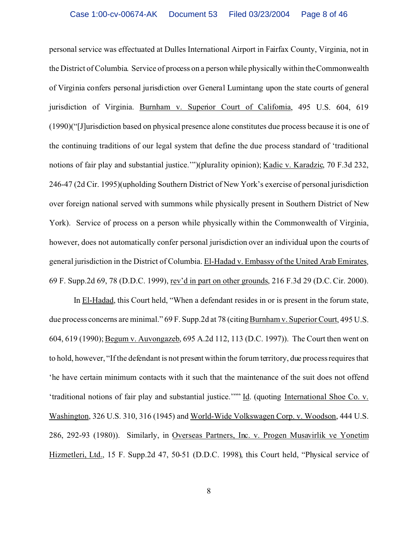personal service was effectuated at Dulles International Airport in Fairfax County, Virginia, not in the District of Columbia. Service of process on a person while physically within the Commonwealth of Virginia confers personal jurisdiction over General Lumintang upon the state courts of general jurisdiction of Virginia. Burnham v. Superior Court of California, 495 U.S. 604, 619 (1990)("[J]urisdiction based on physical presence alone constitutes due process because it is one of the continuing traditions of our legal system that define the due process standard of 'traditional notions of fair play and substantial justice.'")(plurality opinion); Kadic v. Karadzic, 70 F.3d 232, 246-47 (2d Cir. 1995)(upholding Southern District of New York's exercise of personal jurisdiction over foreign national served with summons while physically present in Southern District of New York). Service of process on a person while physically within the Commonwealth of Virginia, however, does not automatically confer personal jurisdiction over an individual upon the courts of general jurisdiction in the District of Columbia. El-Hadad v. Embassy of the United Arab Emirates, 69 F. Supp.2d 69, 78 (D.D.C. 1999), rev'd in part on other grounds, 216 F.3d 29 (D.C. Cir. 2000).

In El-Hadad, this Court held, "When a defendant resides in or is present in the forum state, due process concerns are minimal." 69 F. Supp.2d at 78 (citing Burnham v. Superior Court, 495 U.S.) 604, 619 (1990); Begum v. Auvongazeb, 695 A.2d 112, 113 (D.C. 1997)). The Court then went on to hold, however, "If the defendant is not present within the forum territory, due process requires that 'he have certain minimum contacts with it such that the maintenance of the suit does not offend 'traditional notions of fair play and substantial justice.'"" Id. (quoting International Shoe Co. v. Washington, 326 U.S. 310, 316 (1945) and World-Wide Volkswagen Corp. v. Woodson, 444 U.S. 286, 292-93 (1980)). Similarly, in Overseas Partners, Inc. v. Progen Musavirlik ve Yonetim Hizmetleri, Ltd., 15 F. Supp.2d 47, 50-51 (D.D.C. 1998), this Court held, "Physical service of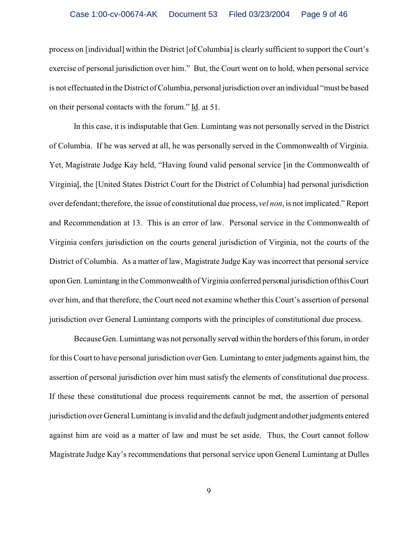process on [individual] within the District [of Columbia] is clearly sufficient to support the Court's exercise of personal jurisdiction over him." But, the Court went on to hold, when personal service is not effectuated in the District of Columbia, personal jurisdiction over an individual "must be based on their personal contacts with the forum." Id. at 51.

In this case, it is indisputable that Gen. Lumintang was not personally served in the District of Columbia. If he was served at all, he was personally served in the Commonwealth of Virginia. Yet, Magistrate Judge Kay held, "Having found valid personal service [in the Commonwealth of Virginia], the [United States District Court for the District of Columbia] had personal jurisdiction over defendant; therefore, the issue of constitutional due process, *vel non*, is not implicated." Report and Recommendation at 13. This is an error of law. Personal service in the Commonwealth of Virginia confers jurisdiction on the courts general jurisdiction of Virginia, not the courts of the District of Columbia. As a matter of law, Magistrate Judge Kay was incorrect that personal service upon Gen. Lumintang in the Commonwealth of Virginia conferred personal jurisdiction of thisCourt over him, and that therefore, the Court need not examine whether this Court's assertion of personal jurisdiction over General Lumintang comports with the principles of constitutional due process.

Because Gen. Lumintang was not personally served within the borders of this forum, in order for this Court to have personal jurisdiction over Gen. Lumintang to enter judgments against him, the assertion of personal jurisdiction over him must satisfy the elements of constitutional due process. If these these constitutional due process requirements cannot be met, the assertion of personal jurisdiction over General Lumintang is invalid and the default judgment and other judgments entered against him are void as a matter of law and must be set aside. Thus, the Court cannot follow Magistrate Judge Kay's recommendations that personal service upon General Lumintang at Dulles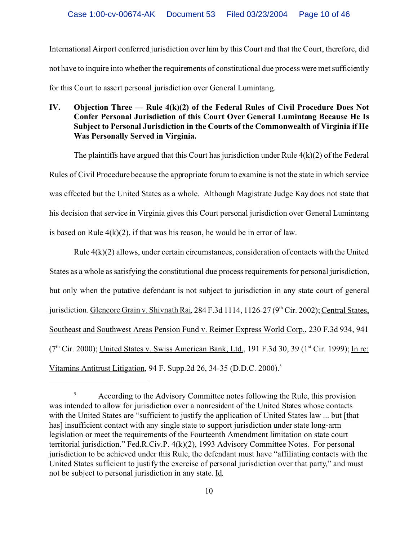International Airport conferred jurisdiction over him by this Court and that the Court, therefore, did not have to inquire into whether the requirements of constitutional due process were met sufficiently for this Court to assert personal jurisdiction over General Lumintang.

# **IV. Objection Three — Rule 4(k)(2) of the Federal Rules of Civil Procedure Does Not Confer Personal Jurisdiction of this Court Over General Lumintang Because He Is Subject to Personal Jurisdiction in the Courts of the Commonwealth of Virginia if He Was Personally Served in Virginia.**

The plaintiffs have argued that this Court has jurisdiction under Rule  $4(k)(2)$  of the Federal Rules of Civil Procedure because the appropriate forum to examine is not the state in which service was effected but the United States as a whole. Although Magistrate Judge Kay does not state that his decision that service in Virginia gives this Court personal jurisdiction over General Lumintang is based on Rule  $4(k)(2)$ , if that was his reason, he would be in error of law.

Rule  $4(k)(2)$  allows, under certain circumstances, consideration of contacts with the United States as a whole as satisfying the constitutional due process requirements for personal jurisdiction, but only when the putative defendant is not subject to jurisdiction in any state court of general jurisdiction. Glencore Grain v. Shivnath Rai, 284 F.3d 1114, 1126-27 (9<sup>th</sup> Cir. 2002); Central States, Southeast and Southwest Areas Pension Fund v. Reimer Express World Corp., 230 F.3d 934, 941  $(7<sup>th</sup> Cir. 2000)$ ; United States v. Swiss American Bank, Ltd., 191 F.3d 30, 39 (1<sup>st</sup> Cir. 1999); In re: Vitamins Antitrust Litigation, 94 F. Supp.2d 26, 34-35 (D.D.C. 2000).<sup>5</sup>

<sup>&</sup>lt;sup>5</sup> According to the Advisory Committee notes following the Rule, this provision was intended to allow for jurisdiction over a nonresident of the United States whose contacts with the United States are "sufficient to justify the application of United States law ... but [that has] insufficient contact with any single state to support jurisdiction under state long-arm legislation or meet the requirements of the Fourteenth Amendment limitation on state court territorial jurisdiction." Fed.R.Civ.P. 4(k)(2), 1993 Advisory Committee Notes. For personal jurisdiction to be achieved under this Rule, the defendant must have "affiliating contacts with the United States sufficient to justify the exercise of personal jurisdiction over that party," and must not be subject to personal jurisdiction in any state. Id*.*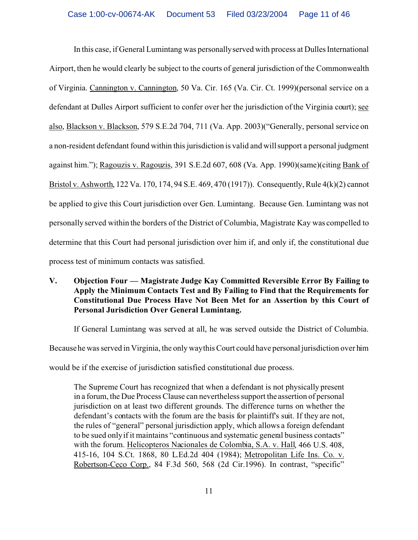In this case, if General Lumintang was personally served with process at Dulles International Airport, then he would clearly be subject to the courts of general jurisdiction of the Commonwealth of Virginia. Cannington v. Cannington, 50 Va. Cir. 165 (Va. Cir. Ct. 1999)(personal service on a defendant at Dulles Airport sufficient to confer over her the jurisdiction of the Virginia court); see also, Blackson v. Blackson, 579 S.E.2d 704, 711 (Va. App. 2003)("Generally, personal service on a non-resident defendant found within this jurisdiction is valid and will support a personal judgment against him."); Ragouzis v. Ragouzis, 391 S.E.2d 607, 608 (Va. App. 1990)(same)(citing Bank of Bristol v. Ashworth, 122 Va. 170, 174, 94 S.E. 469, 470 (1917)). Consequently, Rule 4(k)(2) cannot be applied to give this Court jurisdiction over Gen. Lumintang. Because Gen. Lumintang was not personally served within the borders of the District of Columbia, Magistrate Kay was compelled to determine that this Court had personal jurisdiction over him if, and only if, the constitutional due process test of minimum contacts was satisfied.

**V. Objection Four — Magistrate Judge Kay Committed Reversible Error By Failing to Apply the Minimum Contacts Test and By Failing to Find that the Requirements for Constitutional Due Process Have Not Been Met for an Assertion by this Court of Personal Jurisdiction Over General Lumintang.**

If General Lumintang was served at all, he was served outside the District of Columbia.

Because he was served in Virginia, the only way this Court could have personal jurisdiction over him

would be if the exercise of jurisdiction satisfied constitutional due process.

The Supreme Court has recognized that when a defendant is not physically present in a forum, the Due Process Clause can nevertheless support the assertion of personal jurisdiction on at least two different grounds. The difference turns on whether the defendant's contacts with the forum are the basis for plaintiff's suit. If they are not, the rules of "general" personal jurisdiction apply, which allows a foreign defendant to be sued only if it maintains "continuous and systematic general business contacts" with the forum. Helicopteros Nacionales de Colombia, S.A. v. Hall, 466 U.S. 408, 415-16, 104 S.Ct. 1868, 80 L.Ed.2d 404 (1984); Metropolitan Life Ins. Co. v. Robertson-Ceco Corp., 84 F.3d 560, 568 (2d Cir.1996). In contrast, "specific"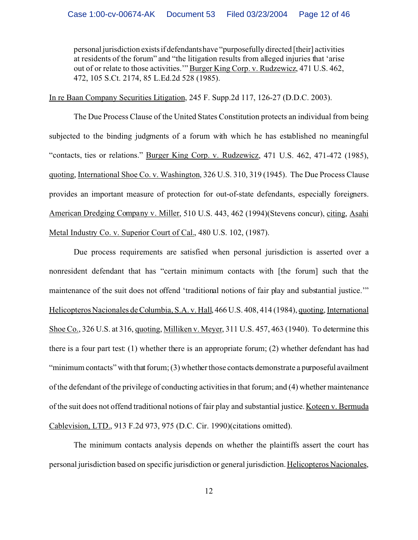personal jurisdiction existsif defendants have "purposefully directed [their] activities at residents of the forum" and "the litigation results from alleged injuries that 'arise out of or relate to those activities.'" Burger King Corp. v. Rudzewicz, 471 U.S. 462, 472, 105 S.Ct. 2174, 85 L.Ed.2d 528 (1985).

In re Baan Company Securities Litigation, 245 F. Supp.2d 117, 126-27 (D.D.C. 2003).

The Due Process Clause of the United States Constitution protects an individual from being subjected to the binding judgments of a forum with which he has established no meaningful "contacts, ties or relations." Burger King Corp. v. Rudzewicz, 471 U.S. 462, 471-472 (1985), quoting, International Shoe Co. v. Washington, 326 U.S. 310, 319 (1945). The Due Process Clause provides an important measure of protection for out-of-state defendants, especially foreigners. American Dredging Company v. Miller, 510 U.S. 443, 462 (1994)(Stevens concur), citing, Asahi Metal Industry Co. v. Superior Court of Cal., 480 U.S. 102, (1987).

Due process requirements are satisfied when personal jurisdiction is asserted over a nonresident defendant that has "certain minimum contacts with [the forum] such that the maintenance of the suit does not offend 'traditional notions of fair play and substantial justice.'" Helicopteros Nacionales de Columbia, S.A. v. Hall, 466 U.S. 408, 414 (1984), quoting, International Shoe Co., 326 U.S. at 316, quoting, Milliken v. Meyer, 311 U.S. 457, 463 (1940). To determine this there is a four part test: (1) whether there is an appropriate forum; (2) whether defendant has had "minimum contacts" with that forum; (3) whether those contacts demonstrate a purposeful availment of the defendant of the privilege of conducting activities in that forum; and (4) whether maintenance of the suit does not offend traditional notions of fair play and substantial justice. Koteen v. Bermuda Cablevision, LTD., 913 F.2d 973, 975 (D.C. Cir. 1990)(citations omitted).

The minimum contacts analysis depends on whether the plaintiffs assert the court has personal jurisdiction based on specific jurisdiction or general jurisdiction. Helicopteros Nacionales,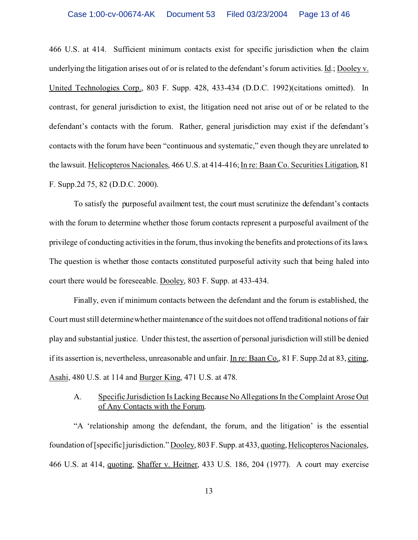466 U.S. at 414. Sufficient minimum contacts exist for specific jurisdiction when the claim underlying the litigation arises out of or is related to the defendant's forum activities. Id.; Dooley v. United Technologies Corp., 803 F. Supp. 428, 433-434 (D.D.C. 1992)(citations omitted). In contrast, for general jurisdiction to exist, the litigation need not arise out of or be related to the defendant's contacts with the forum. Rather, general jurisdiction may exist if the defendant's contacts with the forum have been "continuous and systematic," even though they are unrelated to the lawsuit. Helicopteros Nacionales, 466 U.S. at 414-416; In re: Baan Co. Securities Litigation, 81 F. Supp.2d 75, 82 (D.D.C. 2000).

To satisfy the purposeful availment test, the court must scrutinize the defendant's contacts with the forum to determine whether those forum contacts represent a purposeful availment of the privilege of conducting activities in the forum, thus invoking the benefits and protections of its laws. The question is whether those contacts constituted purposeful activity such that being haled into court there would be foreseeable. Dooley, 803 F. Supp. at 433-434.

Finally, even if minimum contacts between the defendant and the forum is established, the Court must still determine whether maintenance of the suit does not offend traditional notions of fair play and substantial justice. Under this test, the assertion of personal jurisdiction will still be denied if its assertion is, nevertheless, unreasonable and unfair. In re: Baan Co., 81 F. Supp.2d at 83, citing, Asahi, 480 U.S. at 114 and Burger King, 471 U.S. at 478.

## A. Specific Jurisdiction Is Lacking Because No Allegations In the Complaint Arose Out of Any Contacts with the Forum.

"A 'relationship among the defendant, the forum, and the litigation' is the essential foundation of [specific] jurisdiction." Dooley, 803 F. Supp. at 433, quoting, Helicopteros Nacionales, 466 U.S. at 414, quoting, Shaffer v. Heitner, 433 U.S. 186, 204 (1977). A court may exercise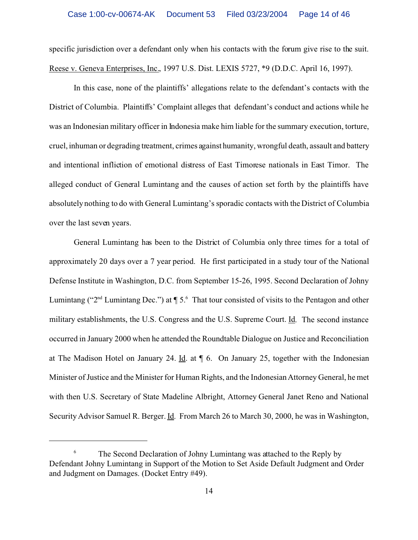specific jurisdiction over a defendant only when his contacts with the forum give rise to the suit. Reese v. Geneva Enterprises, Inc., 1997 U.S. Dist. LEXIS 5727, \*9 (D.D.C. April 16, 1997).

In this case, none of the plaintiffs' allegations relate to the defendant's contacts with the District of Columbia. Plaintiffs' Complaint alleges that defendant's conduct and actions while he was an Indonesian military officer in Indonesia make him liable for the summary execution, torture, cruel, inhuman or degrading treatment, crimes against humanity, wrongful death, assault and battery and intentional infliction of emotional distress of East Timorese nationals in East Timor. The alleged conduct of General Lumintang and the causes of action set forth by the plaintiffs have absolutely nothing to do with General Lumintang's sporadic contacts with the District of Columbia over the last seven years.

General Lumintang has been to the District of Columbia only three times for a total of approximately 20 days over a 7 year period. He first participated in a study tour of the National Defense Institute in Washington, D.C. from September 15-26, 1995. Second Declaration of Johny Lumintang ("2<sup>nd</sup> Lumintang Dec.") at  $\P$  5.<sup>6</sup> That tour consisted of visits to the Pentagon and other military establishments, the U.S. Congress and the U.S. Supreme Court. Id. The second instance occurred in January 2000 when he attended the Roundtable Dialogue on Justice and Reconciliation at The Madison Hotel on January 24. Id. at ¶ 6. On January 25, together with the Indonesian Minister of Justice and the Minister for Human Rights, and the Indonesian Attorney General, he met with then U.S. Secretary of State Madeline Albright, Attorney General Janet Reno and National Security Advisor Samuel R. Berger. Id. From March 26 to March 30, 2000, he was in Washington,

<sup>&</sup>lt;sup>6</sup> The Second Declaration of Johny Lumintang was attached to the Reply by Defendant Johny Lumintang in Support of the Motion to Set Aside Default Judgment and Order and Judgment on Damages. (Docket Entry #49).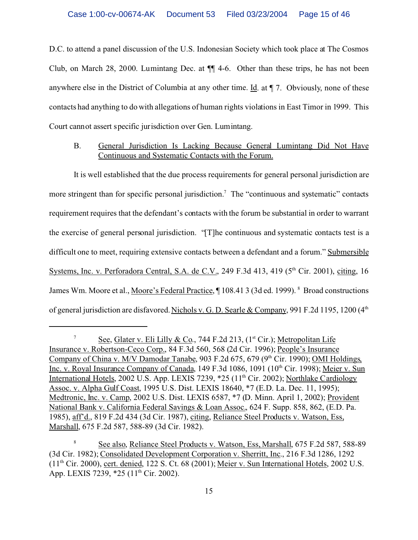D.C. to attend a panel discussion of the U.S. Indonesian Society which took place at The Cosmos Club, on March 28, 2000. Lumintang Dec. at ¶¶ 4-6. Other than these trips, he has not been anywhere else in the District of Columbia at any other time. Id. at ¶ 7. Obviously, none of these contacts had anything to do with allegations of human rights violations in East Timor in 1999. This Court cannot assert specific jurisdiction over Gen. Lumintang.

#### B. General Jurisdiction Is Lacking Because General Lumintang Did Not Have Continuous and Systematic Contacts with the Forum.

It is well established that the due process requirements for general personal jurisdiction are more stringent than for specific personal jurisdiction.<sup>7</sup> The "continuous and systematic" contacts requirement requires that the defendant's contacts with the forum be substantial in order to warrant the exercise of general personal jurisdiction. "[T]he continuous and systematic contacts test is a difficult one to meet, requiring extensive contacts between a defendant and a forum." Submersible Systems, Inc. v. Perforadora Central, S.A. de C.V., 249 F.3d 413, 419 ( $5<sup>th</sup>$  Cir. 2001), citing, 16 James Wm. Moore et al., Moore's Federal Practice, ¶ 108.41 3 (3d ed. 1999). <sup>8</sup> Broad constructions of general jurisdiction are disfavored. Nichols v. G. D. Searle & Company, 991 F.2d 1195, 1200 (4<sup>th</sup>)

<sup>&</sup>lt;sup>7</sup> See, Glater v. Eli Lilly & Co., 744 F.2d 213,  $(1^{st}$  Cir.); Metropolitan Life Insurance v. Robertson-Ceco Corp., 84 F.3d 560, 568 (2d Cir. 1996); People's Insurance Company of China v. M/V Damodar Tanabe, 903 F.2d 675, 679 (9<sup>th</sup> Cir. 1990); OMI Holdings, Inc. v. Royal Insurance Company of Canada, 149 F.3d 1086, 1091 (10<sup>th</sup> Cir. 1998); Meier v. Sun International Hotels, 2002 U.S. App. LEXIS 7239, \*25 (11<sup>th</sup> Cir. 2002); Northlake Cardiology Assoc. v. Alpha Gulf Coast, 1995 U.S. Dist. LEXIS 18640, \*7 (E.D. La. Dec. 11, 1995); Medtronic, Inc. v. Camp, 2002 U.S. Dist. LEXIS 6587, \*7 (D. Minn. April 1, 2002); Provident National Bank v. California Federal Savings & Loan Assoc., 624 F. Supp. 858, 862, (E.D. Pa. 1985), aff'd., 819 F.2d 434 (3d Cir. 1987), citing, Reliance Steel Products v. Watson, Ess, Marshall, 675 F.2d 587, 588-89 (3d Cir. 1982).

<sup>8</sup> See also, Reliance Steel Products v. Watson, Ess, Marshall, 675 F.2d 587, 588-89 (3d Cir. 1982); Consolidated Development Corporation v. Sherritt, Inc., 216 F.3d 1286, 1292  $(11<sup>th</sup> Cir. 2000)$ , cert. denied, 122 S. Ct. 68 (2001); Meier v. Sun International Hotels, 2002 U.S. App. LEXIS 7239, \*25 (11<sup>th</sup> Cir. 2002).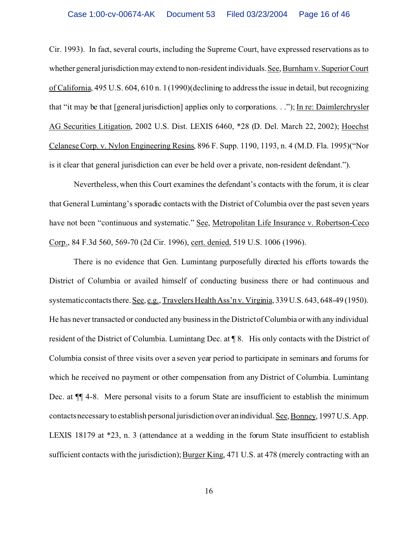Cir. 1993). In fact, several courts, including the Supreme Court, have expressed reservations as to whether general jurisdiction may extend to non-resident individuals. See, Burnham v. SuperiorCourt of California, 495 U.S. 604, 610 n. 1 (1990)(declining to address the issue in detail, but recognizing that "it may be that [general jurisdiction] applies only to corporations. . ."); In re: Daimlerchrysler AG Securities Litigation, 2002 U.S. Dist. LEXIS 6460, \*28 (D. Del. March 22, 2002); Hoechst Celanese Corp. v. Nylon Engineering Resins, 896 F. Supp. 1190, 1193, n. 4 (M.D. Fla. 1995)("Nor is it clear that general jurisdiction can ever be held over a private, non-resident defendant.").

Nevertheless, when this Court examines the defendant's contacts with the forum, it is clear that General Lumintang's sporadic contacts with the District of Columbia over the past seven years have not been "continuous and systematic." See, Metropolitan Life Insurance v. Robertson-Ceco Corp., 84 F.3d 560, 569-70 (2d Cir. 1996), cert. denied, 519 U.S. 1006 (1996).

There is no evidence that Gen. Lumintang purposefully directed his efforts towards the District of Columbia or availed himself of conducting business there or had continuous and systematic contacts there. See, e.g., Travelers Health Ass'n v. Virginia, 339 U.S. 643, 648-49 (1950). He has never transacted or conducted any business in the District of Columbia or with any individual resident of the District of Columbia. Lumintang Dec. at ¶ 8. His only contacts with the District of Columbia consist of three visits over a seven year period to participate in seminars and forums for which he received no payment or other compensation from any District of Columbia. Lumintang Dec. at  $\P$  4-8. Mere personal visits to a forum State are insufficient to establish the minimum contacts necessary to establish personal jurisdiction over an individual. See, Bonney, 1997 U.S. App. LEXIS 18179 at \*23, n. 3 (attendance at a wedding in the forum State insufficient to establish sufficient contacts with the jurisdiction); Burger King, 471 U.S. at 478 (merely contracting with an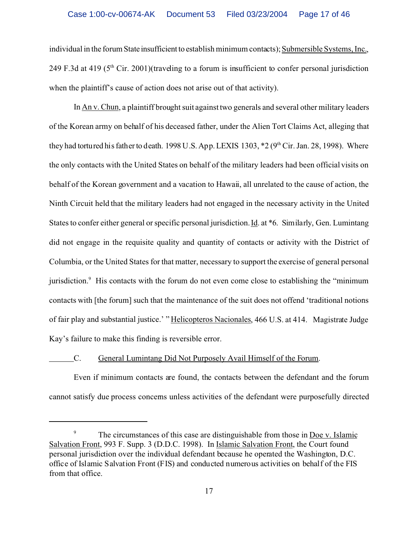individual in the forum State insufficient to establish minimum contacts); Submersible Systems, Inc., 249 F.3d at 419 ( $5<sup>th</sup>$  Cir. 2001)(traveling to a forum is insufficient to confer personal jurisdiction when the plaintiff's cause of action does not arise out of that activity).

In An v. Chun, a plaintiff brought suit against two generals and several other military leaders of the Korean army on behalf of his deceased father, under the Alien Tort Claims Act, alleging that they had tortured his father to death. 1998 U.S. App. LEXIS 1303, \*2 (9<sup>th</sup> Cir. Jan. 28, 1998). Where the only contacts with the United States on behalf of the military leaders had been official visits on behalf of the Korean government and a vacation to Hawaii, all unrelated to the cause of action, the Ninth Circuit held that the military leaders had not engaged in the necessary activity in the United States to confer either general or specific personal jurisdiction. Id. at \*6. Similarly, Gen. Lumintang did not engage in the requisite quality and quantity of contacts or activity with the District of Columbia, or the United States for that matter, necessary to support the exercise of general personal jurisdiction.<sup>9</sup> His contacts with the forum do not even come close to establishing the "minimum contacts with [the forum] such that the maintenance of the suit does not offend 'traditional notions of fair play and substantial justice.' " Helicopteros Nacionales, 466 U.S. at 414. Magistrate Judge Kay's failure to make this finding is reversible error.

#### C. General Lumintang Did Not Purposely Avail Himself of the Forum.

Even if minimum contacts are found, the contacts between the defendant and the forum cannot satisfy due process concerns unless activities of the defendant were purposefully directed

<sup>&</sup>lt;sup>9</sup> The circumstances of this case are distinguishable from those in Doe v. Islamic Salvation Front, 993 F. Supp. 3 (D.D.C. 1998). In Islamic Salvation Front, the Court found personal jurisdiction over the individual defendant because he operated the Washington, D.C. office of Islamic Salvation Front (FIS) and conducted numerous activities on behalf of the FIS from that office.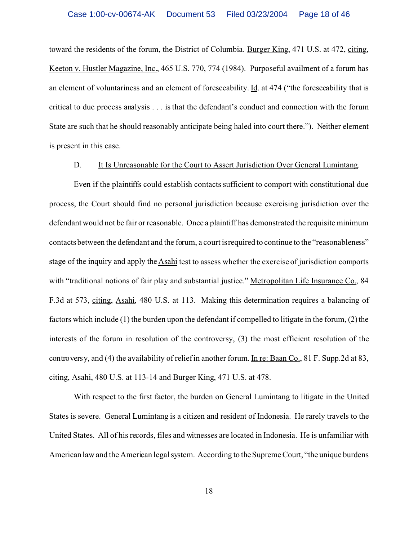toward the residents of the forum, the District of Columbia. Burger King, 471 U.S. at 472, citing, Keeton v. Hustler Magazine, Inc., 465 U.S. 770, 774 (1984). Purposeful availment of a forum has an element of voluntariness and an element of foreseeability. Id. at 474 ("the foreseeability that is critical to due process analysis . . . is that the defendant's conduct and connection with the forum State are such that he should reasonably anticipate being haled into court there."). Neither element is present in this case.

#### D. It Is Unreasonable for the Court to Assert Jurisdiction Over General Lumintang.

Even if the plaintiffs could establish contacts sufficient to comport with constitutional due process, the Court should find no personal jurisdiction because exercising jurisdiction over the defendant would not be fair or reasonable. Once a plaintiff has demonstrated the requisite minimum contacts between the defendant and the forum, a court is required to continue to the "reasonableness" stage of the inquiry and apply theAsahi test to assess whether the exercise of jurisdiction comports with "traditional notions of fair play and substantial justice." Metropolitan Life Insurance Co., 84 F.3d at 573, citing, Asahi, 480 U.S. at 113. Making this determination requires a balancing of factors which include (1) the burden upon the defendant if compelled to litigate in the forum, (2) the interests of the forum in resolution of the controversy, (3) the most efficient resolution of the controversy, and (4) the availability of relief in another forum. In re: Baan Co., 81 F. Supp.2d at 83, citing, Asahi, 480 U.S. at 113-14 and Burger King, 471 U.S. at 478.

With respect to the first factor, the burden on General Lumintang to litigate in the United States is severe. General Lumintang is a citizen and resident of Indonesia. He rarely travels to the United States. All of his records, files and witnesses are located in Indonesia. He is unfamiliar with American law and the American legal system. According to the Supreme Court, "the unique burdens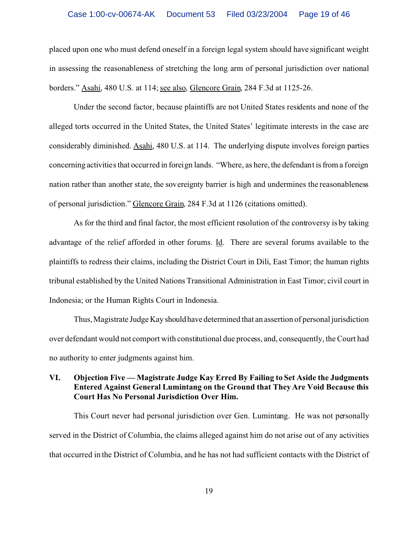placed upon one who must defend oneself in a foreign legal system should have significant weight in assessing the reasonableness of stretching the long arm of personal jurisdiction over national borders." Asahi, 480 U.S. at 114; see also, Glencore Grain, 284 F.3d at 1125-26.

Under the second factor, because plaintiffs are not United States residents and none of the alleged torts occurred in the United States, the United States' legitimate interests in the case are considerably diminished. Asahi, 480 U.S. at 114. The underlying dispute involves foreign parties concerning activities that occurred in foreign lands. "Where, as here, the defendant is from a foreign nation rather than another state, the sovereignty barrier is high and undermines the reasonableness of personal jurisdiction." Glencore Grain, 284 F.3d at 1126 (citations omitted).

As for the third and final factor, the most efficient resolution of the controversy is by taking advantage of the relief afforded in other forums. Id. There are several forums available to the plaintiffs to redress their claims, including the District Court in Dili, East Timor; the human rights tribunal established by the United Nations Transitional Administration in East Timor; civil court in Indonesia; or the Human Rights Court in Indonesia.

Thus, Magistrate Judge Kay should have determined that an assertion of personal jurisdiction over defendant would not comport with constitutional due process, and, consequently, the Court had no authority to enter judgments against him.

# **VI. Objection Five — Magistrate Judge Kay Erred By Failing to Set Aside the Judgments Entered Against General Lumintang on the Ground that They Are Void Because this Court Has No Personal Jurisdiction Over Him.**

This Court never had personal jurisdiction over Gen. Lumintang. He was not personally served in the District of Columbia, the claims alleged against him do not arise out of any activities that occurred in the District of Columbia, and he has not had sufficient contacts with the District of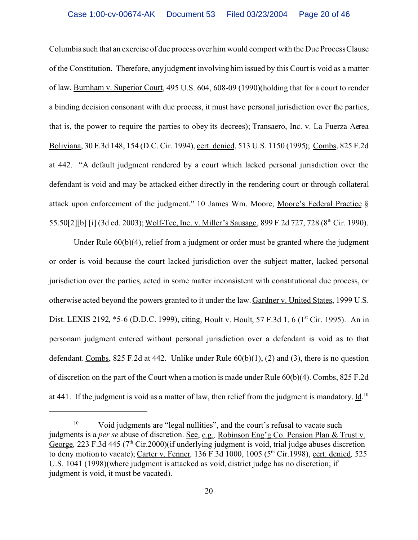Columbia such that an exercise of due process over him would comport with the Due Process Clause of the Constitution. Therefore, any judgment involving him issued by this Court is void as a matter of law. Burnham v. Superior Court, 495 U.S. 604, 608-09 (1990)(holding that for a court to render a binding decision consonant with due process, it must have personal jurisdiction over the parties, that is, the power to require the parties to obey its decrees); Transaero, Inc. v. La Fuerza Aerea Boliviana, 30 F.3d 148, 154 (D.C. Cir. 1994), cert. denied, 513 U.S. 1150 (1995); Combs, 825 F.2d at 442. "A default judgment rendered by a court which lacked personal jurisdiction over the defendant is void and may be attacked either directly in the rendering court or through collateral attack upon enforcement of the judgment." 10 James Wm. Moore, Moore's Federal Practice § 55.50[2][b] [i] (3d ed. 2003); Wolf-Tec, Inc. v. Miller's Sausage, 899 F.2d 727, 728 (8th Cir. 1990).

Under Rule  $60(b)(4)$ , relief from a judgment or order must be granted where the judgment or order is void because the court lacked jurisdiction over the subject matter, lacked personal jurisdiction over the parties, acted in some matter inconsistent with constitutional due process, or otherwise acted beyond the powers granted to it under the law. Gardner v. United States, 1999 U.S. Dist. LEXIS 2192, \*5-6 (D.D.C. 1999), citing, Hoult v. Hoult, 57 F.3d 1, 6 (1<sup>st</sup> Cir. 1995). An in personam judgment entered without personal jurisdiction over a defendant is void as to that defendant. Combs, 825 F.2d at 442. Unlike under Rule 60(b)(1), (2) and (3), there is no question of discretion on the part of the Court when a motion is made under Rule 60(b)(4). Combs, 825 F.2d at 441. If the judgment is void as a matter of law, then relief from the judgment is mandatory. Id.<sup>10</sup>

<sup>&</sup>lt;sup>10</sup> Void judgments are "legal nullities", and the court's refusal to vacate such judgments is a *per se* abuse of discretion. See, e.g.*,* Robinson Eng'g Co. Pension Plan & Trust v. George, 223 F.3d 445 (7<sup>th</sup> Cir.2000)(if underlying judgment is void, trial judge abuses discretion to deny motion to vacate); Carter v. Fenner*,* 136 F.3d 1000, 1005 (5th Cir.1998), cert. denied*,* 525 U.S. 1041 (1998)(where judgment is attacked as void, district judge has no discretion; if judgment is void, it must be vacated).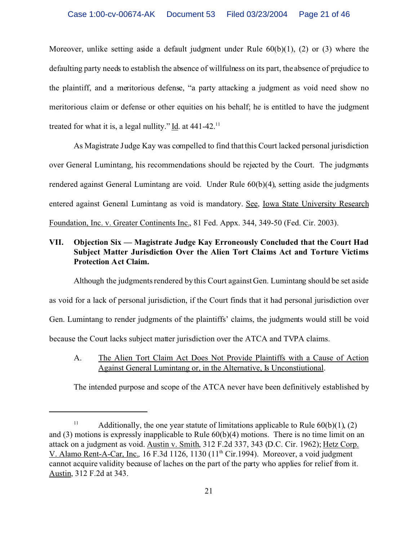Moreover, unlike setting aside a default judgment under Rule  $60(b)(1)$ , (2) or (3) where the defaulting party needs to establish the absence of willfulness on its part, the absence of prejudice to the plaintiff, and a meritorious defense, "a party attacking a judgment as void need show no meritorious claim or defense or other equities on his behalf; he is entitled to have the judgment treated for what it is, a legal nullity." Id. at  $441-42$ .<sup>11</sup>

As Magistrate Judge Kay was compelled to find that this Court lacked personal jurisdiction over General Lumintang, his recommendations should be rejected by the Court. The judgments rendered against General Lumintang are void. Under Rule 60(b)(4), setting aside the judgments entered against General Lumintang as void is mandatory. See, Iowa State University Research Foundation, Inc. v. Greater Continents Inc., 81 Fed. Appx. 344, 349-50 (Fed. Cir. 2003).

# **VII. Objection Six — Magistrate Judge Kay Erroneously Concluded that the Court Had Subject Matter Jurisdiction Over the Alien Tort Claims Act and Torture Victims Protection Act Claim.**

Although the judgments rendered by this Court against Gen. Lumintang should be set aside as void for a lack of personal jurisdiction, if the Court finds that it had personal jurisdiction over Gen. Lumintang to render judgments of the plaintiffs' claims, the judgments would still be void because the Court lacks subject matter jurisdiction over the ATCA and TVPA claims.

A. The Alien Tort Claim Act Does Not Provide Plaintiffs with a Cause of Action Against General Lumintang or, in the Alternative, Is Unconstiutional.

The intended purpose and scope of the ATCA never have been definitively established by

<sup>&</sup>lt;sup>11</sup> Additionally, the one year statute of limitations applicable to Rule  $60(b)(1)$ , (2) and (3) motions is expressly inapplicable to Rule 60(b)(4) motions. There is no time limit on an attack on a judgment as void. Austin v. Smith, 312 F.2d 337, 343 (D.C. Cir. 1962); Hetz Corp. V. Alamo Rent-A-Car, Inc.*,* 16 F.3d 1126, 1130 (11th Cir.1994). Moreover, a void judgment cannot acquire validity because of laches on the part of the party who applies for relief from it. Austin, 312 F.2d at 343.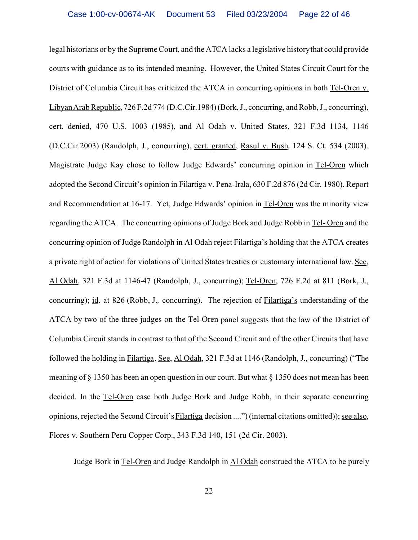legal historians or by the Supreme Court, and the ATCA lacks a legislative history that could provide courts with guidance as to its intended meaning. However, the United States Circuit Court for the District of Columbia Circuit has criticized the ATCA in concurring opinions in both Tel-Oren v. Libyan Arab Republic, 726 F.2d 774 (D.C.Cir.1984) (Bork, J., concurring, and Robb, J., concurring), cert. denied, 470 U.S. 1003 (1985), and Al Odah v. United States, 321 F.3d 1134, 1146 (D.C.Cir.2003) (Randolph, J., concurring), cert. granted, Rasul v. Bush, 124 S. Ct. 534 (2003). Magistrate Judge Kay chose to follow Judge Edwards' concurring opinion in Tel-Oren which adopted the Second Circuit's opinion in Filartiga v. Pena-Irala, 630 F.2d 876 (2d Cir. 1980). Report and Recommendation at 16-17. Yet, Judge Edwards' opinion in Tel-Oren was the minority view regarding the ATCA. The concurring opinions of Judge Bork and Judge Robb in Tel- Oren and the concurring opinion of Judge Randolph in Al Odah reject Filartiga's holding that the ATCA creates a private right of action for violations of United States treaties or customary international law. See, Al Odah, 321 F.3d at 1146-47 (Randolph, J., concurring); Tel-Oren, 726 F.2d at 811 (Bork, J., concurring); id. at 826 (Robb, J.*,* concurring). The rejection of Filartiga's understanding of the ATCA by two of the three judges on the Tel-Oren panel suggests that the law of the District of Columbia Circuit stands in contrast to that of the Second Circuit and of the other Circuits that have followed the holding in Filartiga. See, Al Odah, 321 F.3d at 1146 (Randolph, J., concurring) ("The meaning of § 1350 has been an open question in our court. But what § 1350 does not mean has been decided. In the Tel-Oren case both Judge Bork and Judge Robb, in their separate concurring opinions, rejected the Second Circuit's Filartiga decision ....") (internal citations omitted)); see also, Flores v. Southern Peru Copper Corp., 343 F.3d 140, 151 (2d Cir. 2003).

Judge Bork in Tel-Oren and Judge Randolph in Al Odah construed the ATCA to be purely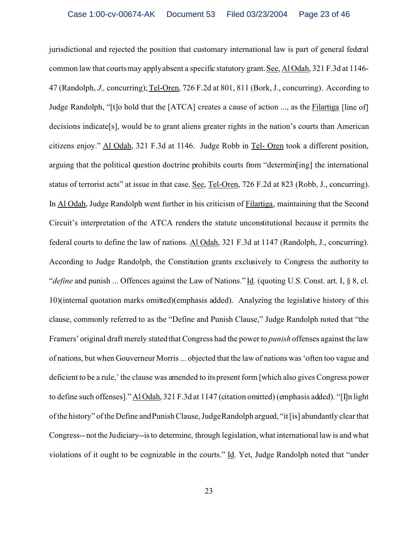jurisdictional and rejected the position that customary international law is part of general federal common law that courts may apply absent a specific statutory grant. See, Al Odah, 321 F.3d at 1146- 47 (Randolph, *J.,* concurring); Tel-Oren, 726 F.2d at 801, 811 (Bork, J., concurring). According to Judge Randolph, "[t]o hold that the [ATCA] creates a cause of action ..., as the Filartiga [line of] decisions indicate[s], would be to grant aliens greater rights in the nation's courts than American citizens enjoy." Al Odah, 321 F.3d at 1146. Judge Robb in Tel- Oren took a different position, arguing that the political question doctrine prohibits courts from "determin[ing] the international status of terrorist acts" at issue in that case. See, Tel-Oren, 726 F.2d at 823 (Robb, J., concurring). In Al Odah, Judge Randolph went further in his criticism of Filartiga, maintaining that the Second Circuit's interpretation of the ATCA renders the statute unconstitutional because it permits the federal courts to define the law of nations. Al Odah, 321 F.3d at 1147 (Randolph, J., concurring). According to Judge Randolph, the Constitution grants exclusively to Congress the authority to "*define* and punish ... Offences against the Law of Nations." Id. (quoting U.S. Const. art. I, § 8, cl. 10)(internal quotation marks omitted)(emphasis added). Analyzing the legislative history of this clause, commonly referred to as the "Define and Punish Clause," Judge Randolph noted that "the Framers' original draft merely stated that Congress had the power to *punish* offenses against the law of nations, but when Gouverneur Morris ... objected that the law of nations was 'often too vague and deficient to be a rule,' the clause was amended to its present form [which also gives Congress power to define such offenses]." Al Odah, 321 F.3d at 1147 (citation omitted) (emphasis added). "[I]n light of the history" of the Define and Punish Clause, Judge Randolph argued, "it [is] abundantly clear that Congress-- not the Judiciary--is to determine, through legislation, what international law is and what violations of it ought to be cognizable in the courts." Id. Yet, Judge Randolph noted that "under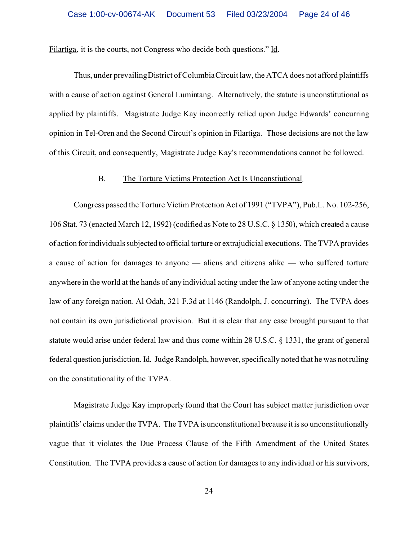Filartiga, it is the courts, not Congress who decide both questions." Id.

Thus, under prevailing District of Columbia Circuit law, the ATCA does not afford plaintiffs with a cause of action against General Lumintang. Alternatively, the statute is unconstitutional as applied by plaintiffs. Magistrate Judge Kay incorrectly relied upon Judge Edwards' concurring opinion in Tel-Oren and the Second Circuit's opinion in Filartiga. Those decisions are not the law of this Circuit, and consequently, Magistrate Judge Kay's recommendations cannot be followed.

#### B. The Torture Victims Protection Act Is Unconstiutional.

Congress passed the Torture Victim Protection Act of 1991 ("TVPA"), Pub.L. No. 102-256, 106 Stat. 73 (enacted March 12, 1992) (codified as Note to 28 U.S.C. § 1350), which created a cause of action for individuals subjected to official torture or extrajudicial executions. The TVPA provides a cause of action for damages to anyone — aliens and citizens alike — who suffered torture anywhere in the world at the hands of any individual acting under the law of anyone acting under the law of any foreign nation. Al Odah, 321 F.3d at 1146 (Randolph, J. concurring). The TVPA does not contain its own jurisdictional provision. But it is clear that any case brought pursuant to that statute would arise under federal law and thus come within 28 U.S.C. § 1331, the grant of general federal question jurisdiction. Id. Judge Randolph, however, specifically noted that he was not ruling on the constitutionality of the TVPA.

Magistrate Judge Kay improperly found that the Court has subject matter jurisdiction over plaintiffs' claims under the TVPA. The TVPA is unconstitutional because it is so unconstitutionally vague that it violates the Due Process Clause of the Fifth Amendment of the United States Constitution. The TVPA provides a cause of action for damages to any individual or his survivors,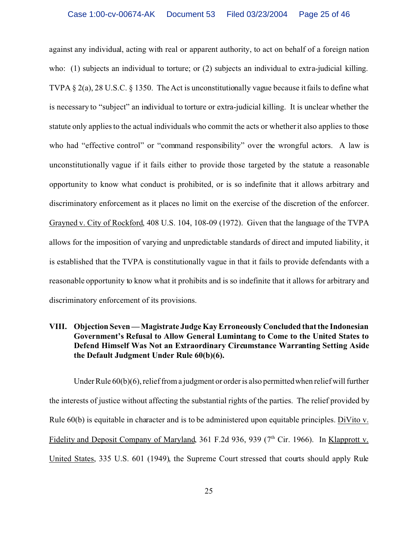against any individual, acting with real or apparent authority, to act on behalf of a foreign nation who: (1) subjects an individual to torture; or (2) subjects an individual to extra-judicial killing. TVPA § 2(a), 28 U.S.C. § 1350. The Act is unconstitutionally vague because it fails to define what is necessary to "subject" an individual to torture or extra-judicial killing. It is unclear whether the statute only applies to the actual individuals who commit the acts or whether it also applies to those who had "effective control" or "command responsibility" over the wrongful actors. A law is unconstitutionally vague if it fails either to provide those targeted by the statute a reasonable opportunity to know what conduct is prohibited, or is so indefinite that it allows arbitrary and discriminatory enforcement as it places no limit on the exercise of the discretion of the enforcer. Grayned v. City of Rockford, 408 U.S. 104, 108-09 (1972). Given that the language of the TVPA allows for the imposition of varying and unpredictable standards of direct and imputed liability, it is established that the TVPA is constitutionally vague in that it fails to provide defendants with a reasonable opportunity to know what it prohibits and is so indefinite that it allows for arbitrary and discriminatory enforcement of its provisions.

#### **VIII. Objection Seven — Magistrate Judge Kay Erroneously Concluded that the Indonesian Government's Refusal to Allow General Lumintang to Come to the United States to Defend Himself Was Not an Extraordinary Circumstance Warranting Setting Aside the Default Judgment Under Rule 60(b)(6).**

Under Rule 60(b)(6), relief from a judgment or order is also permitted when relief will further the interests of justice without affecting the substantial rights of the parties. The relief provided by Rule 60(b) is equitable in character and is to be administered upon equitable principles. DiVito v. Fidelity and Deposit Company of Maryland, 361 F.2d 936, 939 (7<sup>th</sup> Cir. 1966). In Klapprott v. United States, 335 U.S. 601 (1949), the Supreme Court stressed that courts should apply Rule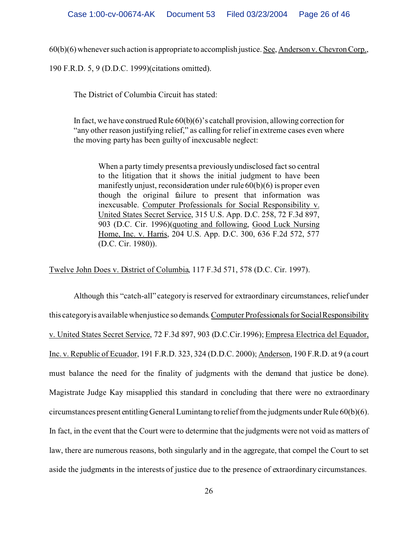60(b)(6) whenever such action is appropriate to accomplish justice. See, Anderson v. Chevron Corp.,

190 F.R.D. 5, 9 (D.D.C. 1999)(citations omitted).

The District of Columbia Circuit has stated:

In fact, we have construed Rule 60(b)(6)'s catchall provision, allowing correction for "any other reason justifying relief," as calling for relief in extreme cases even where the moving party has been guilty of inexcusable neglect:

When a party timely presents a previously undisclosed fact so central to the litigation that it shows the initial judgment to have been manifestly unjust, reconsideration under rule 60(b)(6) is proper even though the original failure to present that information was inexcusable. Computer Professionals for Social Responsibility v. United States Secret Service, 315 U.S. App. D.C. 258, 72 F.3d 897, 903 (D.C. Cir. 1996)(quoting and following, Good Luck Nursing Home, Inc. v. Harris, 204 U.S. App. D.C. 300, 636 F.2d 572, 577 (D.C. Cir. 1980)).

Twelve John Does v. District of Columbia, 117 F.3d 571, 578 (D.C. Cir. 1997).

Although this "catch-all" category is reserved for extraordinary circumstances, relief under this category is available when justice so demands.Computer Professionals for Social Responsibility v. United States Secret Service, 72 F.3d 897, 903 (D.C.Cir.1996); Empresa Electrica del Equador, Inc. v. Republic of Ecuador, 191 F.R.D. 323, 324 (D.D.C. 2000); Anderson, 190 F.R.D. at 9 (a court must balance the need for the finality of judgments with the demand that justice be done). Magistrate Judge Kay misapplied this standard in concluding that there were no extraordinary circumstances present entitlingGeneral Lumintang to relief from the judgments under Rule 60(b)(6). In fact, in the event that the Court were to determine that the judgments were not void as matters of law, there are numerous reasons, both singularly and in the aggregate, that compel the Court to set aside the judgments in the interests of justice due to the presence of extraordinary circumstances.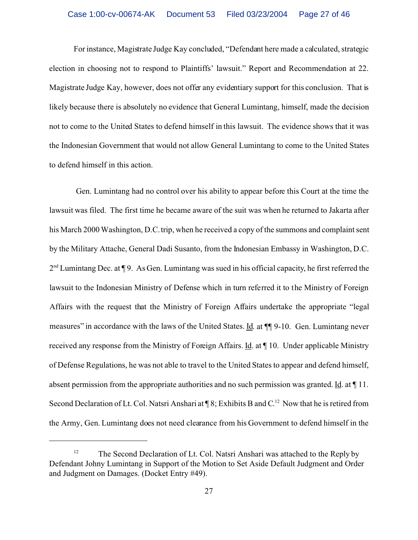For instance, Magistrate Judge Kay concluded, "Defendant here made a calculated, strategic election in choosing not to respond to Plaintiffs' lawsuit." Report and Recommendation at 22. Magistrate Judge Kay, however, does not offer any evidentiary support for this conclusion. That is likely because there is absolutely no evidence that General Lumintang, himself, made the decision not to come to the United States to defend himself in this lawsuit. The evidence shows that it was the Indonesian Government that would not allow General Lumintang to come to the United States to defend himself in this action.

 Gen. Lumintang had no control over his ability to appear before this Court at the time the lawsuit was filed. The first time he became aware of the suit was when he returned to Jakarta after his March 2000 Washington, D.C. trip, when he received a copy of the summons and complaint sent by the Military Attache, General Dadi Susanto, from the Indonesian Embassy in Washington, D.C. 2<sup>nd</sup> Lumintang Dec. at ¶ 9. As Gen. Lumintang was sued in his official capacity, he first referred the lawsuit to the Indonesian Ministry of Defense which in turn referred it to the Ministry of Foreign Affairs with the request that the Ministry of Foreign Affairs undertake the appropriate "legal measures" in accordance with the laws of the United States. Id. at ¶¶ 9-10. Gen. Lumintang never received any response from the Ministry of Foreign Affairs. Id. at ¶ 10. Under applicable Ministry of Defense Regulations, he was not able to travel to the United States to appear and defend himself, absent permission from the appropriate authorities and no such permission was granted. Id. at ¶ 11. Second Declaration of Lt. Col. Natsri Anshari at  $\P$ 8; Exhibits B and C.<sup>12</sup> Now that he is retired from the Army, Gen. Lumintang does not need clearance from his Government to defend himself in the

<sup>&</sup>lt;sup>12</sup> The Second Declaration of Lt. Col. Natsri Anshari was attached to the Reply by Defendant Johny Lumintang in Support of the Motion to Set Aside Default Judgment and Order and Judgment on Damages. (Docket Entry #49).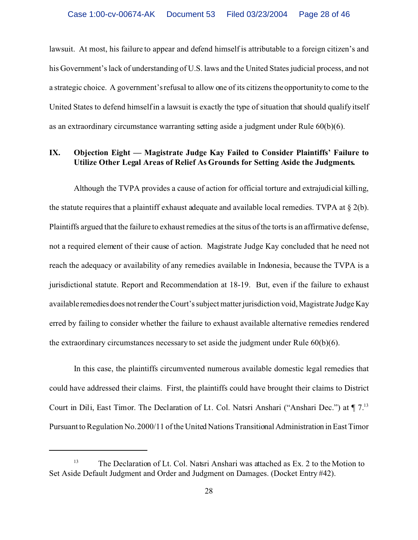lawsuit. At most, his failure to appear and defend himself is attributable to a foreign citizen's and his Government's lack of understanding of U.S. laws and the United States judicial process, and not a strategic choice. A government's refusal to allow one of its citizens the opportunity to come to the United States to defend himself in a lawsuit is exactly the type of situation that should qualify itself as an extraordinary circumstance warranting setting aside a judgment under Rule 60(b)(6).

#### **IX. Objection Eight — Magistrate Judge Kay Failed to Consider Plaintiffs' Failure to Utilize Other Legal Areas of Relief As Grounds for Setting Aside the Judgments.**

Although the TVPA provides a cause of action for official torture and extrajudicial killing, the statute requires that a plaintiff exhaust adequate and available local remedies. TVPA at  $\S$  2(b). Plaintiffs argued that the failure to exhaust remedies at the situs of the torts is an affirmative defense, not a required element of their cause of action. Magistrate Judge Kay concluded that he need not reach the adequacy or availability of any remedies available in Indonesia, because the TVPA is a jurisdictional statute. Report and Recommendation at 18-19. But, even if the failure to exhaust availableremedies does notrender the Court's subject matter jurisdiction void, Magistrate Judge Kay erred by failing to consider whether the failure to exhaust available alternative remedies rendered the extraordinary circumstances necessary to set aside the judgment under Rule 60(b)(6).

In this case, the plaintiffs circumvented numerous available domestic legal remedies that could have addressed their claims. First, the plaintiffs could have brought their claims to District Court in Dili, East Timor. The Declaration of Lt. Col. Natsri Anshari ("Anshari Dec.") at ¶ 7.<sup>13</sup> Pursuant to Regulation No. 2000/11 of the United Nations Transitional Administration in East Timor

<sup>&</sup>lt;sup>13</sup> The Declaration of Lt. Col. Natsri Anshari was attached as Ex. 2 to the Motion to Set Aside Default Judgment and Order and Judgment on Damages. (Docket Entry #42).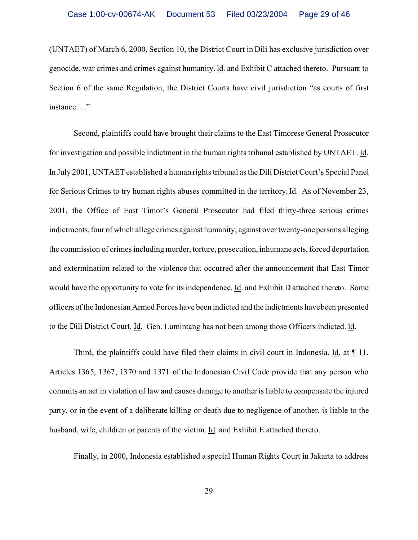(UNTAET) of March 6, 2000, Section 10, the District Court in Dili has exclusive jurisdiction over genocide, war crimes and crimes against humanity. Id. and Exhibit C attached thereto. Pursuant to Section 6 of the same Regulation, the District Courts have civil jurisdiction "as courts of first instance. . ."

Second, plaintiffs could have brought their claims to the East Timorese General Prosecutor for investigation and possible indictment in the human rights tribunal established by UNTAET. Id. In July 2001, UNTAET established a human rights tribunal as the Dili District Court's Special Panel for Serious Crimes to try human rights abuses committed in the territory. Id. As of November 23, 2001, the Office of East Timor's General Prosecutor had filed thirty-three serious crimes indictments, four of which allege crimes against humanity, against over twenty-one persons alleging the commission of crimes including murder, torture, prosecution, inhumane acts, forced deportation and extermination related to the violence that occurred after the announcement that East Timor would have the opportunity to vote for its independence. Id. and Exhibit D attached thereto. Some officers of the Indonesian Armed Forces have been indicted and the indictments have been presented to the Dili District Court. Id. Gen. Lumintang has not been among those Officers indicted. Id.

Third, the plaintiffs could have filed their claims in civil court in Indonesia. Id. at ¶ 11. Articles 1365, 1367, 1370 and 1371 of the Indonesian Civil Code provide that any person who commits an act in violation of law and causes damage to another is liable to compensate the injured party, or in the event of a deliberate killing or death due to negligence of another, is liable to the husband, wife, children or parents of the victim. Id. and Exhibit E attached thereto.

Finally, in 2000, Indonesia established a special Human Rights Court in Jakarta to address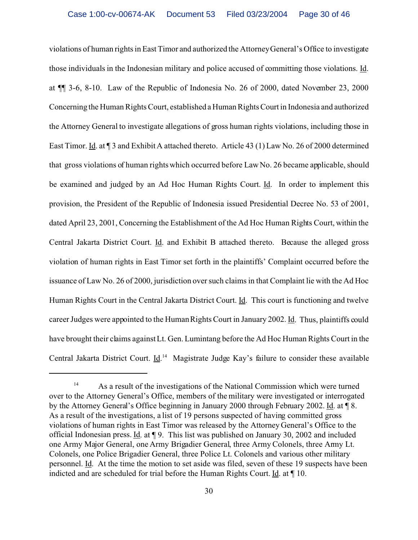violations of human rights in East Timor and authorized the Attorney General's Office to investigate those individuals in the Indonesian military and police accused of committing those violations. Id. at ¶¶ 3-6, 8-10. Law of the Republic of Indonesia No. 26 of 2000, dated November 23, 2000 Concerning the Human Rights Court, established a Human Rights Court in Indonesia and authorized the Attorney General to investigate allegations of gross human rights violations, including those in East Timor. Id. at ¶ 3 and Exhibit A attached thereto. Article 43 (1) Law No. 26 of 2000 determined that gross violations of human rights which occurred before Law No. 26 became applicable, should be examined and judged by an Ad Hoc Human Rights Court. Id. In order to implement this provision, the President of the Republic of Indonesia issued Presidential Decree No. 53 of 2001, dated April 23, 2001, Concerning the Establishment of the Ad Hoc Human Rights Court, within the Central Jakarta District Court. Id. and Exhibit B attached thereto. Because the alleged gross violation of human rights in East Timor set forth in the plaintiffs' Complaint occurred before the issuance of Law No. 26 of 2000, jurisdiction over such claims in that Complaint lie with the Ad Hoc Human Rights Court in the Central Jakarta District Court. Id. This court is functioning and twelve career Judges were appointed to the Human Rights Court in January 2002. Id. Thus, plaintiffs could have brought their claims against Lt. Gen. Lumintang before the Ad Hoc Human Rights Court in the Central Jakarta District Court. *Id.*<sup>14</sup> Magistrate Judge Kay's failure to consider these available

<sup>&</sup>lt;sup>14</sup> As a result of the investigations of the National Commission which were turned over to the Attorney General's Office, members of the military were investigated or interrogated by the Attorney General's Office beginning in January 2000 through February 2002. Id. at ¶ 8. As a result of the investigations, a list of 19 persons suspected of having committed gross violations of human rights in East Timor was released by the Attorney General's Office to the official Indonesian press. Id. at ¶ 9. This list was published on January 30, 2002 and included one Army Major General, one Army Brigadier General, three Army Colonels, three Army Lt. Colonels, one Police Brigadier General, three Police Lt. Colonels and various other military personnel. Id. At the time the motion to set aside was filed, seven of these 19 suspects have been indicted and are scheduled for trial before the Human Rights Court. Id. at ¶ 10.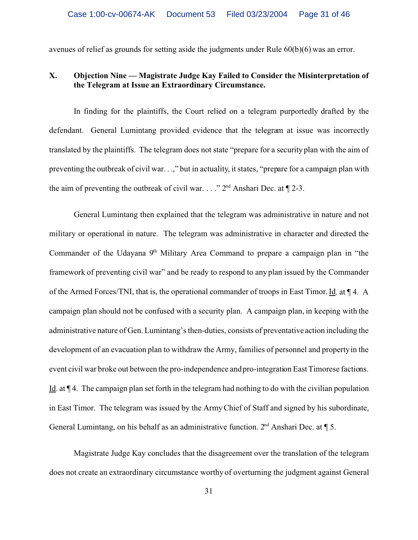avenues of relief as grounds for setting aside the judgments under Rule 60(b)(6) was an error.

# **X. Objection Nine — Magistrate Judge Kay Failed to Consider the Misinterpretation of the Telegram at Issue an Extraordinary Circumstance.**

In finding for the plaintiffs, the Court relied on a telegram purportedly drafted by the defendant. General Lumintang provided evidence that the telegram at issue was incorrectly translated by the plaintiffs. The telegram does not state "prepare for a security plan with the aim of preventing the outbreak of civil war. . .," but in actuality, it states, "prepare for a campaign plan with the aim of preventing the outbreak of civil war. . . ."  $2<sup>nd</sup>$  Anshari Dec. at  $\P$  2-3.

General Lumintang then explained that the telegram was administrative in nature and not military or operational in nature. The telegram was administrative in character and directed the Commander of the Udayana  $9<sup>th</sup>$  Military Area Command to prepare a campaign plan in "the framework of preventing civil war" and be ready to respond to any plan issued by the Commander of the Armed Forces/TNI, that is, the operational commander of troops in East Timor. Id. at ¶ 4. A campaign plan should not be confused with a security plan. A campaign plan, in keeping with the administrative nature of Gen. Lumintang's then-duties, consists of preventative action including the development of an evacuation plan to withdraw the Army, families of personnel and property in the event civil war broke out between the pro-independence and pro-integration East Timorese factions. Id. at ¶ 4. The campaign plan set forth in the telegram had nothing to do with the civilian population in East Timor. The telegram was issued by the Army Chief of Staff and signed by his subordinate, General Lumintang, on his behalf as an administrative function.  $2<sup>nd</sup>$  Anshari Dec. at  $\P$  5.

Magistrate Judge Kay concludes that the disagreement over the translation of the telegram does not create an extraordinary circumstance worthy of overturning the judgment against General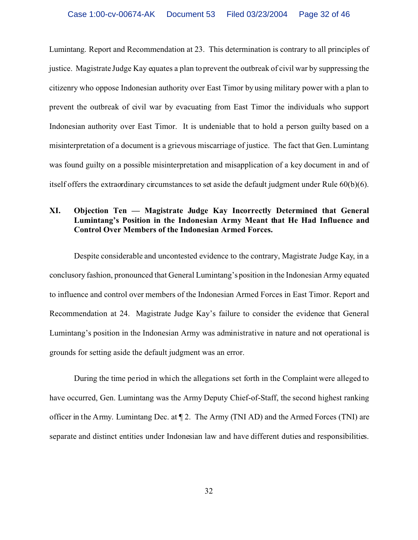Lumintang. Report and Recommendation at 23. This determination is contrary to all principles of justice. Magistrate Judge Kay equates a plan to prevent the outbreak of civil war by suppressing the citizenry who oppose Indonesian authority over East Timor by using military power with a plan to prevent the outbreak of civil war by evacuating from East Timor the individuals who support Indonesian authority over East Timor. It is undeniable that to hold a person guilty based on a misinterpretation of a document is a grievous miscarriage of justice. The fact that Gen. Lumintang was found guilty on a possible misinterpretation and misapplication of a key document in and of itself offers the extraordinary circumstances to set aside the default judgment under Rule 60(b)(6).

# **XI. Objection Ten — Magistrate Judge Kay Incorrectly Determined that General Lumintang's Position in the Indonesian Army Meant that He Had Influence and Control Over Members of the Indonesian Armed Forces.**

Despite considerable and uncontested evidence to the contrary, Magistrate Judge Kay, in a conclusory fashion, pronounced that General Lumintang's position in the Indonesian Army equated to influence and control over members of the Indonesian Armed Forces in East Timor. Report and Recommendation at 24. Magistrate Judge Kay's failure to consider the evidence that General Lumintang's position in the Indonesian Army was administrative in nature and not operational is grounds for setting aside the default judgment was an error.

During the time period in which the allegations set forth in the Complaint were alleged to have occurred, Gen. Lumintang was the Army Deputy Chief-of-Staff, the second highest ranking officer in the Army. Lumintang Dec. at ¶ 2. The Army (TNI AD) and the Armed Forces (TNI) are separate and distinct entities under Indonesian law and have different duties and responsibilities.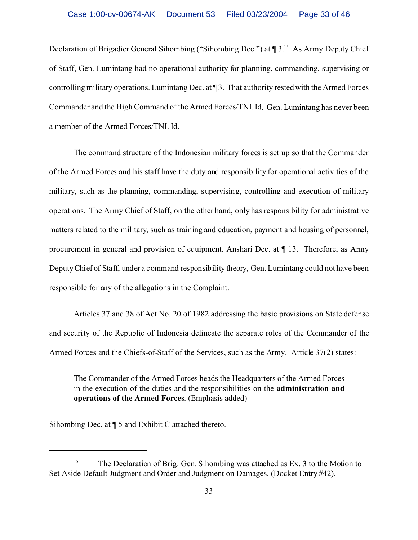Declaration of Brigadier General Sihombing ("Sihombing Dec.") at  $\P$  3.<sup>15</sup> As Army Deputy Chief of Staff, Gen. Lumintang had no operational authority for planning, commanding, supervising or controlling military operations. Lumintang Dec. at ¶ 3. That authority rested with the Armed Forces Commander and the High Command of the Armed Forces/TNI. Id. Gen. Lumintang has never been a member of the Armed Forces/TNI. Id.

The command structure of the Indonesian military forces is set up so that the Commander of the Armed Forces and his staff have the duty and responsibility for operational activities of the military, such as the planning, commanding, supervising, controlling and execution of military operations. The Army Chief of Staff, on the other hand, only has responsibility for administrative matters related to the military, such as training and education, payment and housing of personnel, procurement in general and provision of equipment. Anshari Dec. at ¶ 13. Therefore, as Army Deputy Chief of Staff, under a command responsibility theory, Gen. Lumintang could not have been responsible for any of the allegations in the Complaint.

Articles 37 and 38 of Act No. 20 of 1982 addressing the basic provisions on State defense and security of the Republic of Indonesia delineate the separate roles of the Commander of the Armed Forces and the Chiefs-of-Staff of the Services, such as the Army. Article 37(2) states:

The Commander of the Armed Forces heads the Headquarters of the Armed Forces in the execution of the duties and the responsibilities on the **administration and operations of the Armed Forces**. (Emphasis added)

Sihombing Dec. at ¶ 5 and Exhibit C attached thereto.

<sup>&</sup>lt;sup>15</sup> The Declaration of Brig. Gen. Sihombing was attached as Ex. 3 to the Motion to Set Aside Default Judgment and Order and Judgment on Damages. (Docket Entry #42).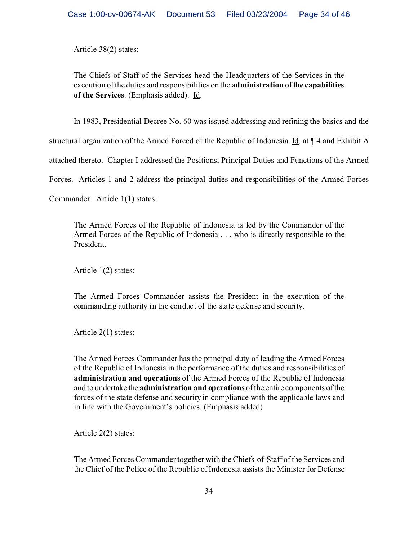Article 38(2) states:

The Chiefs-of-Staff of the Services head the Headquarters of the Services in the execution of the duties and responsibilities on the **administration of the capabilities of the Services**. (Emphasis added). Id.

In 1983, Presidential Decree No. 60 was issued addressing and refining the basics and the

structural organization of the Armed Forced of the Republic of Indonesia. Id. at ¶ 4 and Exhibit A

attached thereto. Chapter I addressed the Positions, Principal Duties and Functions of the Armed

Forces. Articles 1 and 2 address the principal duties and responsibilities of the Armed Forces

Commander. Article 1(1) states:

The Armed Forces of the Republic of Indonesia is led by the Commander of the Armed Forces of the Republic of Indonesia . . . who is directly responsible to the President.

Article 1(2) states:

The Armed Forces Commander assists the President in the execution of the commanding authority in the conduct of the state defense and security.

Article 2(1) states:

The Armed Forces Commander has the principal duty of leading the Armed Forces of the Republic of Indonesia in the performance of the duties and responsibilities of **administration and operations** of the Armed Forces of the Republic of Indonesia and to undertake the **administration and operations** of the entire components of the forces of the state defense and security in compliance with the applicable laws and in line with the Government's policies. (Emphasis added)

Article 2(2) states:

The Armed Forces Commander together with the Chiefs-of-Staff of the Services and the Chief of the Police of the Republic of Indonesia assists the Minister for Defense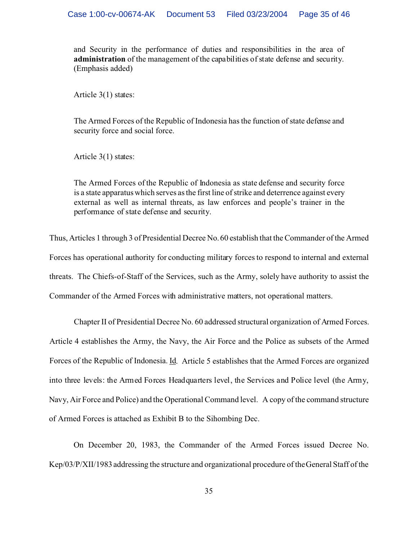and Security in the performance of duties and responsibilities in the area of **administration** of the management of the capabilities of state defense and security. (Emphasis added)

Article 3(1) states:

The Armed Forces of the Republic of Indonesia has the function of state defense and security force and social force.

Article 3(1) states:

The Armed Forces of the Republic of Indonesia as state defense and security force is a state apparatus which serves as the first line of strike and deterrence against every external as well as internal threats, as law enforces and people's trainer in the performance of state defense and security.

Thus, Articles 1 through 3 of Presidential Decree No. 60 establish that the Commander of the Armed Forces has operational authority for conducting military forces to respond to internal and external threats. The Chiefs-of-Staff of the Services, such as the Army, solely have authority to assist the Commander of the Armed Forces with administrative matters, not operational matters.

Chapter II of Presidential Decree No. 60 addressed structural organization of Armed Forces. Article 4 establishes the Army, the Navy, the Air Force and the Police as subsets of the Armed Forces of the Republic of Indonesia. Id. Article 5 establishes that the Armed Forces are organized into three levels: the Armed Forces Headquarters level, the Services and Police level (the Army, Navy, Air Force and Police) and the Operational Command level. A copy of the command structure of Armed Forces is attached as Exhibit B to the Sihombing Dec.

On December 20, 1983, the Commander of the Armed Forces issued Decree No. Kep/03/P/XII/1983 addressing the structure and organizational procedure of the General Staff of the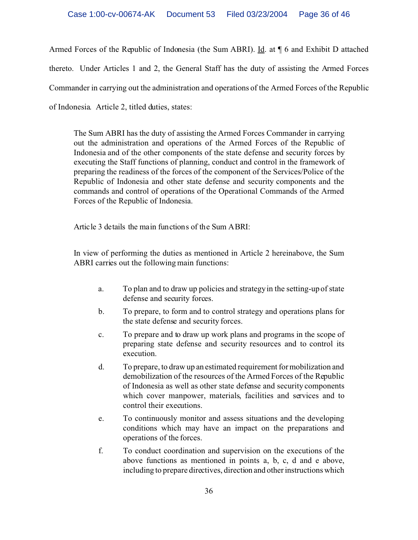Armed Forces of the Republic of Indonesia (the Sum ABRI). Id. at ¶ 6 and Exhibit D attached thereto. Under Articles 1 and 2, the General Staff has the duty of assisting the Armed Forces Commander in carrying out the administration and operations of the Armed Forces of the Republic of Indonesia. Article 2, titled duties, states:

The Sum ABRI has the duty of assisting the Armed Forces Commander in carrying out the administration and operations of the Armed Forces of the Republic of Indonesia and of the other components of the state defense and security forces by executing the Staff functions of planning, conduct and control in the framework of preparing the readiness of the forces of the component of the Services/Police of the Republic of Indonesia and other state defense and security components and the commands and control of operations of the Operational Commands of the Armed Forces of the Republic of Indonesia.

Article 3 details the main functions of the Sum ABRI:

In view of performing the duties as mentioned in Article 2 hereinabove, the Sum ABRI carries out the following main functions:

- a. To plan and to draw up policies and strategy in the setting-up of state defense and security forces.
- b. To prepare, to form and to control strategy and operations plans for the state defense and security forces.
- c. To prepare and to draw up work plans and programs in the scope of preparing state defense and security resources and to control its execution.
- d. To prepare, to draw up an estimated requirement for mobilization and demobilization of the resources of the Armed Forces of the Republic of Indonesia as well as other state defense and security components which cover manpower, materials, facilities and services and to control their executions.
- e. To continuously monitor and assess situations and the developing conditions which may have an impact on the preparations and operations of the forces.
- f. To conduct coordination and supervision on the executions of the above functions as mentioned in points a, b, c, d and e above, including to prepare directives, direction and other instructions which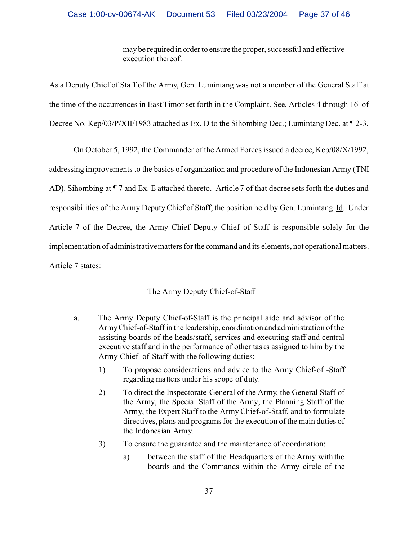may be required in order to ensure the proper, successful and effective execution thereof.

As a Deputy Chief of Staff of the Army, Gen. Lumintang was not a member of the General Staff at the time of the occurrences in East Timor set forth in the Complaint. See, Articles 4 through 16 of Decree No. Kep/03/P/XII/1983 attached as Ex. D to the Sihombing Dec.; Lumintang Dec. at ¶ 2-3.

On October 5, 1992, the Commander of the Armed Forces issued a decree, Kep/08/X/1992, addressing improvements to the basics of organization and procedure of the Indonesian Army (TNI AD). Sihombing at  $\P$  7 and Ex. E attached thereto. Article 7 of that decree sets forth the duties and responsibilities of the Army Deputy Chief of Staff, the position held by Gen. Lumintang. Id. Under Article 7 of the Decree, the Army Chief Deputy Chief of Staff is responsible solely for the implementation of administrative matters for the command and its elements, not operational matters. Article 7 states:

# The Army Deputy Chief-of-Staff

- a. The Army Deputy Chief-of-Staff is the principal aide and advisor of the Army Chief-of-Staff in the leadership, coordination and administration of the assisting boards of the heads/staff, services and executing staff and central executive staff and in the performance of other tasks assigned to him by the Army Chief -of-Staff with the following duties:
	- 1) To propose considerations and advice to the Army Chief-of -Staff regarding matters under his scope of duty.
	- 2) To direct the Inspectorate-General of the Army, the General Staff of the Army, the Special Staff of the Army, the Planning Staff of the Army, the Expert Staff to the Army Chief-of-Staff, and to formulate directives, plans and programs for the execution of the main duties of the Indonesian Army.
	- 3) To ensure the guarantee and the maintenance of coordination:
		- a) between the staff of the Headquarters of the Army with the boards and the Commands within the Army circle of the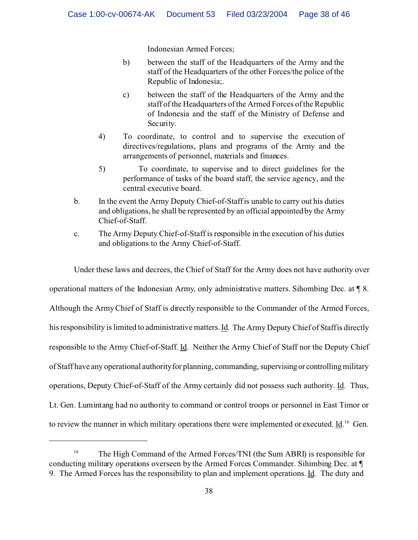Indonesian Armed Forces;

- b) between the staff of the Headquarters of the Army and the staff of the Headquarters of the other Forces/the police of the Republic of Indonesia;.
- c) between the staff of the Headquarters of the Army and the staff of the Headquarters of the Armed Forces of the Republic of Indonesia and the staff of the Ministry of Defense and Security.
- 4) To coordinate, to control and to supervise the execution of directives/regulations, plans and programs of the Army and the arrangements of personnel, materials and finances.
- 5) To coordinate, to supervise and to direct guidelines for the performance of tasks of the board staff, the service agency, and the central executive board.
- b. In the event the Army Deputy Chief-of-Staff is unable to carry out his duties and obligations, he shall be represented by an official appointed by the Army Chief-of-Staff.
- c. The Army Deputy Chief-of-Staff is responsible in the execution of his duties and obligations to the Army Chief-of-Staff.

Under these laws and decrees, the Chief of Staff for the Army does not have authority over operational matters of the Indonesian Army, only administrative matters. Sihombing Dec. at ¶ 8. Although the Army Chief of Staff is directly responsible to the Commander of the Armed Forces, his responsibility is limited to administrative matters. Id. The Army Deputy Chief of Staff is directly responsible to the Army Chief-of-Staff. Id. Neither the Army Chief of Staff nor the Deputy Chief of Staff have any operational authority for planning, commanding, supervising or controlling military operations, Deputy Chief-of-Staff of the Army certainly did not possess such authority. Id. Thus, Lt. Gen. Lumintang had no authority to command or control troops or personnel in East Timor or to review the manner in which military operations there were implemented or executed.  $\underline{Id}$ .<sup>16</sup> Gen.

<sup>&</sup>lt;sup>16</sup> The High Command of the Armed Forces/TNI (the Sum ABRI) is responsible for conducting military operations overseen by the Armed Forces Commander. Sihimbing Dec. at ¶ 9. The Armed Forces has the responsibility to plan and implement operations. Id. The duty and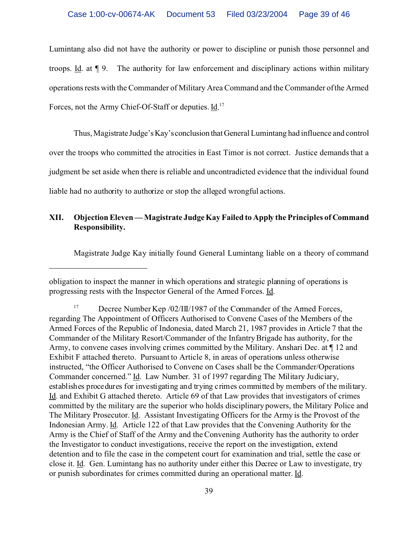Lumintang also did not have the authority or power to discipline or punish those personnel and troops. Id. at ¶ 9. The authority for law enforcement and disciplinary actions within military operations rests with the Commander of Military Area Command and the Commander of the Armed Forces, not the Army Chief-Of-Staff or deputies. Id.<sup>17</sup>

Thus, Magistrate Judge'sKay'sconclusion thatGeneral Lumintang had influence and control over the troops who committed the atrocities in East Timor is not correct. Justice demands that a judgment be set aside when there is reliable and uncontradicted evidence that the individual found liable had no authority to authorize or stop the alleged wrongful actions.

#### **XII. Objection Eleven — Magistrate Judge Kay Failed to Apply the Principles of Command Responsibility.**

Magistrate Judge Kay initially found General Lumintang liable on a theory of command

obligation to inspect the manner in which operations and strategic planning of operations is progressing rests with the Inspector General of the Armed Forces. Id.

<sup>&</sup>lt;sup>17</sup> Decree Number Kep /02/III/1987 of the Commander of the Armed Forces, regarding The Appointment of Officers Authorised to Convene Cases of the Members of the Armed Forces of the Republic of Indonesia, dated March 21, 1987 provides in Article 7 that the Commander of the Military Resort/Commander of the Infantry Brigade has authority, for the Army, to convene cases involving crimes committed by the Military. Anshari Dec. at ¶ 12 and Exhibit F attached thereto. Pursuant to Article 8, in areas of operations unless otherwise instructed, "the Officer Authorised to Convene on Cases shall be the Commander/Operations Commander concerned." Id. Law Number. 31 of 1997 regarding The Military Judiciary, establishes procedures for investigating and trying crimes committed by members of the military. Id. and Exhibit G attached thereto. Article 69 of that Law provides that investigators of crimes committed by the military are the superior who holds disciplinary powers, the Military Police and The Military Prosecutor. <u>Id</u>. Assistant Investigating Officers for the Army is the Provost of the Indonesian Army. Id. Article 122 of that Law provides that the Convening Authority for the Army is the Chief of Staff of the Army and the Convening Authority has the authority to order the Investigator to conduct investigations, receive the report on the investigation, extend detention and to file the case in the competent court for examination and trial, settle the case or close it. Id.Gen. Lumintang has no authority under either this Decree or Law to investigate, try or punish subordinates for crimes committed during an operational matter. Id.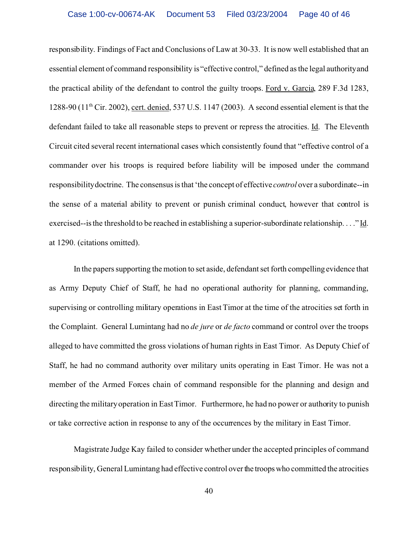responsibility. Findings of Fact and Conclusions of Law at 30-33.It is now well established that an essential element of command responsibility is "effective control," defined as the legal authority and the practical ability of the defendant to control the guilty troops. Ford v. Garcia, 289 F.3d 1283, 1288-90 (11th Cir. 2002), cert. denied, 537 U.S. 1147 (2003). A second essential element is that the defendant failed to take all reasonable steps to prevent or repress the atrocities. Id. The Eleventh Circuit cited several recent international cases which consistently found that "effective control of a commander over his troops is required before liability will be imposed under the command responsibility doctrine. The consensus is that 'the concept of effective *control* over a subordinate--in the sense of a material ability to prevent or punish criminal conduct, however that control is exercised--is the threshold to be reached in establishing a superior-subordinate relationship. . . ." Id. at 1290. (citations omitted).

In the papers supporting the motion to set aside, defendant set forth compelling evidence that as Army Deputy Chief of Staff, he had no operational authority for planning, commanding, supervising or controlling military operations in East Timor at the time of the atrocities set forth in the Complaint. General Lumintang had no *de jure* or *de facto* command or control over the troops alleged to have committed the gross violations of human rights in East Timor. As Deputy Chief of Staff, he had no command authority over military units operating in East Timor. He was not a member of the Armed Forces chain of command responsible for the planning and design and directing the military operation in East Timor. Furthermore, he had no power or authority to punish or take corrective action in response to any of the occurrences by the military in East Timor.

Magistrate Judge Kay failed to consider whether under the accepted principles of command responsibility, General Lumintang had effective control over the troopswho committed the atrocities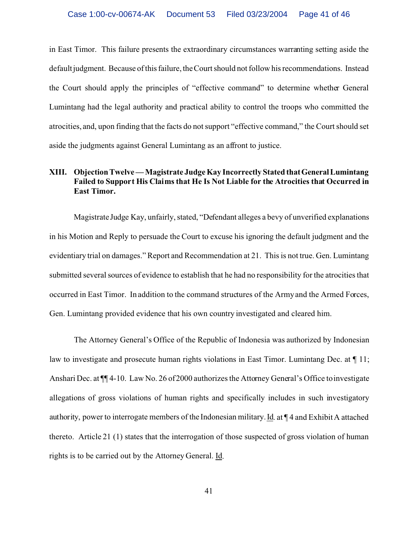in East Timor. This failure presents the extraordinary circumstances warranting setting aside the default judgment. Because of this failure, the Court should not follow his recommendations. Instead the Court should apply the principles of "effective command" to determine whether General Lumintang had the legal authority and practical ability to control the troops who committed the atrocities, and, upon finding that the facts do not support "effective command," the Court should set aside the judgments against General Lumintang as an affront to justice.

# **XIII. Objection Twelve — Magistrate Judge Kay Incorrectly Stated that GeneralLumintang Failed to Support His Claims that He Is Not Liable for the Atrocities that Occurred in East Timor.**

Magistrate Judge Kay, unfairly, stated, "Defendant alleges a bevy of unverified explanations in his Motion and Reply to persuade the Court to excuse his ignoring the default judgment and the evidentiary trial on damages." Report and Recommendation at 21. This is not true. Gen. Lumintang submitted several sources of evidence to establish that he had no responsibility for the atrocities that occurred in East Timor. In addition to the command structures of the Army and the Armed Forces, Gen. Lumintang provided evidence that his own country investigated and cleared him.

The Attorney General's Office of the Republic of Indonesia was authorized by Indonesian law to investigate and prosecute human rights violations in East Timor. Lumintang Dec. at ¶ 11; Anshari Dec. at ¶¶ 4-10. Law No. 26 of 2000 authorizes the Attorney General's Office to investigate allegations of gross violations of human rights and specifically includes in such investigatory authority, power to interrogate members of the Indonesian military. Id. at ¶ 4 and Exhibit A attached thereto. Article 21 (1) states that the interrogation of those suspected of gross violation of human rights is to be carried out by the Attorney General. Id.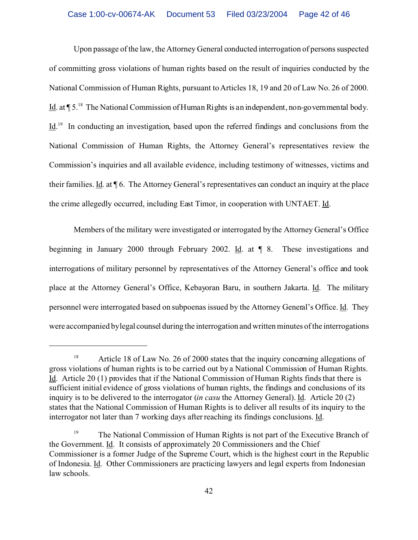Upon passage of the law, the Attorney General conducted interrogation of persons suspected of committing gross violations of human rights based on the result of inquiries conducted by the National Commission of Human Rights, pursuant to Articles 18, 19 and 20 of Law No. 26 of 2000. Id. at ¶ 5.<sup>18</sup> The National Commission of Human Rights is an independent, non-governmental body. Id.<sup>19</sup> In conducting an investigation, based upon the referred findings and conclusions from the National Commission of Human Rights, the Attorney General's representatives review the Commission's inquiries and all available evidence, including testimony of witnesses, victims and their families. Id. at ¶ 6. The Attorney General's representatives can conduct an inquiry at the place the crime allegedly occurred, including East Timor, in cooperation with UNTAET. Id.

Members of the military were investigated or interrogated by the Attorney General's Office beginning in January 2000 through February 2002. Id. at ¶ 8. These investigations and interrogations of military personnel by representatives of the Attorney General's office and took place at the Attorney General's Office, Kebayoran Baru, in southern Jakarta. Id. The military personnel were interrogated based on subpoenas issued by the Attorney General's Office. Id. They were accompanied by legal counsel during the interrogation and written minutes of the interrogations

<sup>&</sup>lt;sup>18</sup> Article 18 of Law No. 26 of 2000 states that the inquiry concerning allegations of gross violations of human rights is to be carried out by a National Commission of Human Rights. Id. Article 20 (1) provides that if the National Commission of Human Rights finds that there is sufficient initial evidence of gross violations of human rights, the findings and conclusions of its inquiry is to be delivered to the interrogator (*in casu* the Attorney General). Id. Article 20 (2) states that the National Commission of Human Rights is to deliver all results of its inquiry to the interrogator not later than 7 working days after reaching its findings conclusions. Id.

<sup>&</sup>lt;sup>19</sup> The National Commission of Human Rights is not part of the Executive Branch of the Government. Id. It consists of approximately 20 Commissioners and the Chief Commissioner is a former Judge of the Supreme Court, which is the highest court in the Republic of Indonesia. Id. Other Commissioners are practicing lawyers and legal experts from Indonesian law schools.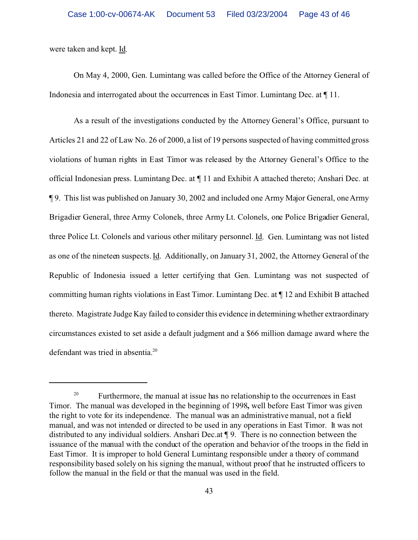were taken and kept. Id.

On May 4, 2000, Gen. Lumintang was called before the Office of the Attorney General of Indonesia and interrogated about the occurrences in East Timor. Lumintang Dec. at ¶ 11.

As a result of the investigations conducted by the Attorney General's Office, pursuant to Articles 21 and 22 of Law No. 26 of 2000, a list of 19 persons suspected of having committed gross violations of human rights in East Timor was released by the Attorney General's Office to the official Indonesian press. Lumintang Dec. at ¶ 11 and Exhibit A attached thereto; Anshari Dec. at ¶ 9. This list was published on January 30, 2002 and included one Army Major General, one Army Brigadier General, three Army Colonels, three Army Lt. Colonels, one Police Brigadier General, three Police Lt. Colonels and various other military personnel. Id. Gen. Lumintang was not listed as one of the nineteen suspects. Id. Additionally, on January 31, 2002, the Attorney General of the Republic of Indonesia issued a letter certifying that Gen. Lumintang was not suspected of committing human rights violations in East Timor. Lumintang Dec. at ¶ 12 and Exhibit B attached thereto. Magistrate Judge Kay failed to consider this evidence in determining whether extraordinary circumstances existed to set aside a default judgment and a \$66 million damage award where the defendant was tried in absentia.<sup>20</sup>

<sup>&</sup>lt;sup>20</sup> Furthermore, the manual at issue has no relationship to the occurrences in East Timor. The manual was developed in the beginning of 1998**,** well before East Timor was given the right to vote for its independence. The manual was an administrative manual, not a field manual, and was not intended or directed to be used in any operations in East Timor. It was not distributed to any individual soldiers. Anshari Dec.at ¶ 9. There is no connection between the issuance of the manual with the conduct of the operation and behavior of the troops in the field in East Timor. It is improper to hold General Lumintang responsible under a theory of command responsibility based solely on his signing the manual, without proof that he instructed officers to follow the manual in the field or that the manual was used in the field.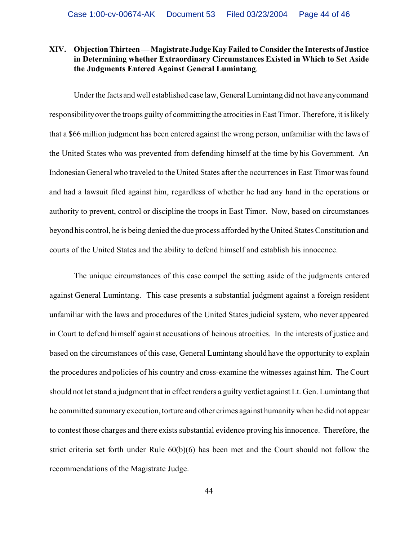# **XIV. Objection Thirteen — Magistrate Judge Kay Failed to Consider the Interests of Justice in Determining whether Extraordinary Circumstances Existed in Which to Set Aside the Judgments Entered Against General Lumintang**.

Under the facts and well established case law, General Lumintang did not have any command responsibility over the troops guilty of committing the atrocities in East Timor. Therefore, it is likely that a \$66 million judgment has been entered against the wrong person, unfamiliar with the laws of the United States who was prevented from defending himself at the time by his Government. An Indonesian General who traveled to the United States after the occurrences in East Timor was found and had a lawsuit filed against him, regardless of whether he had any hand in the operations or authority to prevent, control or discipline the troops in East Timor. Now, based on circumstances beyond his control, he is being denied the due process afforded by the United States Constitution and courts of the United States and the ability to defend himself and establish his innocence.

The unique circumstances of this case compel the setting aside of the judgments entered against General Lumintang. This case presents a substantial judgment against a foreign resident unfamiliar with the laws and procedures of the United States judicial system, who never appeared in Court to defend himself against accusations of heinous atrocities. In the interests of justice and based on the circumstances of this case, General Lumintang should have the opportunity to explain the procedures and policies of his country and cross-examine the witnesses against him. The Court should not let stand a judgment that in effect renders a guilty verdict against Lt. Gen. Lumintang that he committed summary execution, torture and other crimes against humanity when he did not appear to contest those charges and there exists substantial evidence proving his innocence. Therefore, the strict criteria set forth under Rule 60(b)(6) has been met and the Court should not follow the recommendations of the Magistrate Judge.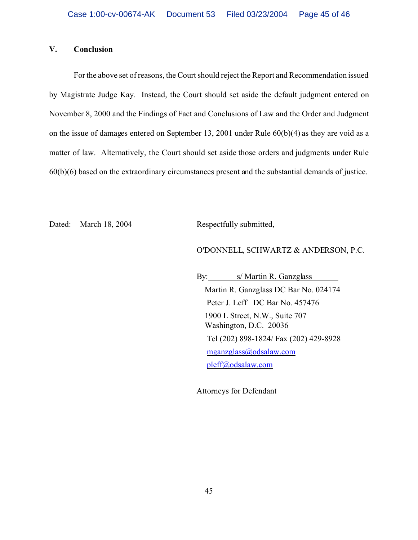#### **V. Conclusion**

For the above set of reasons, the Court should reject the Report and Recommendation issued by Magistrate Judge Kay. Instead, the Court should set aside the default judgment entered on November 8, 2000 and the Findings of Fact and Conclusions of Law and the Order and Judgment on the issue of damages entered on September 13, 2001 under Rule 60(b)(4) as they are void as a matter of law. Alternatively, the Court should set aside those orders and judgments under Rule 60(b)(6) based on the extraordinary circumstances present and the substantial demands of justice.

Dated: March 18, 2004 Respectfully submitted,

#### O'DONNELL, SCHWARTZ & ANDERSON, P.C.

By: s/ Martin R. Ganzglass Martin R. Ganzglass DC Bar No. 024174 Peter J. Leff DC Bar No. 457476 1900 L Street, N.W., Suite 707 Washington, D.C. 20036 Tel (202) 898-1824/ Fax (202) 429-8928 mganzglass@odsalaw.com pleff@odsalaw.com

Attorneys for Defendant